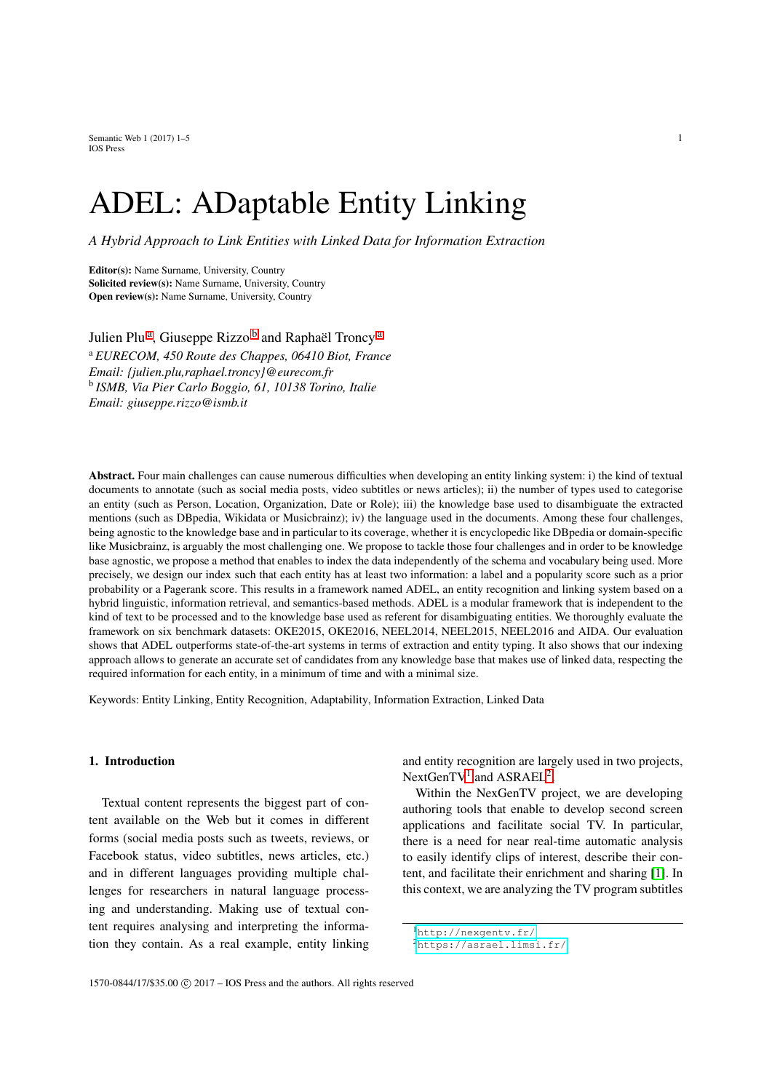Semantic Web  $1(2017)$  1–5 1 IOS Press

# ADEL: ADaptable Entity Linking

*A Hybrid Approach to Link Entities with Linked Data for Information Extraction*

Editor(s): Name Surname, University, Country Solicited review(s): Name Surname, University, Country Open review(s): Name Surname, University, Country

<span id="page-0-1"></span><span id="page-0-0"></span>Julien Plu<sup>[a](#page-0-0)</sup>, Giuseppe Rizzo <sup>[b](#page-0-1)</sup> and Raphaël Troncy <sup>a</sup> <sup>a</sup> *EURECOM, 450 Route des Chappes, 06410 Biot, France Email: {julien.plu,raphael.troncy}@eurecom.fr* b *ISMB, Via Pier Carlo Boggio, 61, 10138 Torino, Italie Email: giuseppe.rizzo@ismb.it*

Abstract. Four main challenges can cause numerous difficulties when developing an entity linking system: i) the kind of textual documents to annotate (such as social media posts, video subtitles or news articles); ii) the number of types used to categorise an entity (such as Person, Location, Organization, Date or Role); iii) the knowledge base used to disambiguate the extracted mentions (such as DBpedia, Wikidata or Musicbrainz); iv) the language used in the documents. Among these four challenges, being agnostic to the knowledge base and in particular to its coverage, whether it is encyclopedic like DBpedia or domain-specific like Musicbrainz, is arguably the most challenging one. We propose to tackle those four challenges and in order to be knowledge base agnostic, we propose a method that enables to index the data independently of the schema and vocabulary being used. More precisely, we design our index such that each entity has at least two information: a label and a popularity score such as a prior probability or a Pagerank score. This results in a framework named ADEL, an entity recognition and linking system based on a hybrid linguistic, information retrieval, and semantics-based methods. ADEL is a modular framework that is independent to the kind of text to be processed and to the knowledge base used as referent for disambiguating entities. We thoroughly evaluate the framework on six benchmark datasets: OKE2015, OKE2016, NEEL2014, NEEL2015, NEEL2016 and AIDA. Our evaluation shows that ADEL outperforms state-of-the-art systems in terms of extraction and entity typing. It also shows that our indexing approach allows to generate an accurate set of candidates from any knowledge base that makes use of linked data, respecting the required information for each entity, in a minimum of time and with a minimal size.

Keywords: Entity Linking, Entity Recognition, Adaptability, Information Extraction, Linked Data

# 1. Introduction

Textual content represents the biggest part of content available on the Web but it comes in different forms (social media posts such as tweets, reviews, or Facebook status, video subtitles, news articles, etc.) and in different languages providing multiple challenges for researchers in natural language processing and understanding. Making use of textual content requires analysing and interpreting the information they contain. As a real example, entity linking and entity recognition are largely used in two projects, NextGenTV<sup>[1](#page-0-2)</sup> and ASRAEL<sup>[2](#page-0-3)</sup>.

Within the NexGenTV project, we are developing authoring tools that enable to develop second screen applications and facilitate social TV. In particular, there is a need for near real-time automatic analysis to easily identify clips of interest, describe their content, and facilitate their enrichment and sharing [\[1\]](#page-22-0). In this context, we are analyzing the TV program subtitles

<span id="page-0-2"></span><sup>1</sup><http://nexgentv.fr/>

<span id="page-0-3"></span><sup>2</sup><https://asrael.limsi.fr/>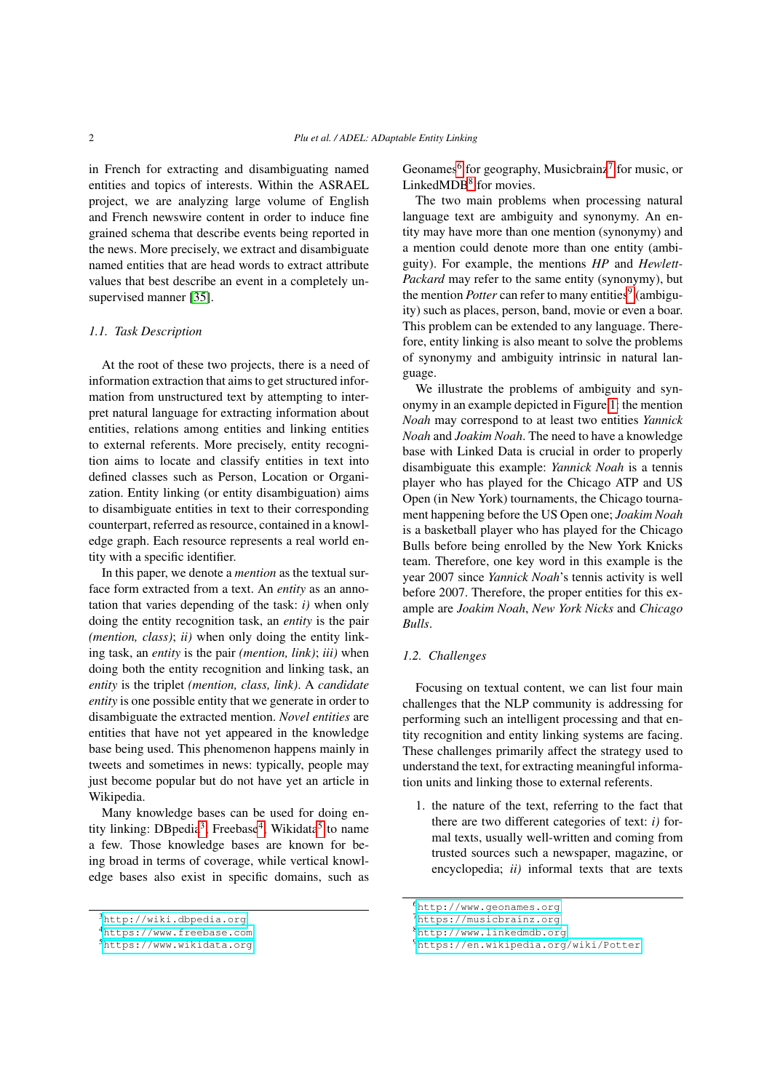in French for extracting and disambiguating named entities and topics of interests. Within the ASRAEL project, we are analyzing large volume of English and French newswire content in order to induce fine grained schema that describe events being reported in the news. More precisely, we extract and disambiguate named entities that are head words to extract attribute values that best describe an event in a completely unsupervised manner [\[35\]](#page-23-0).

## *1.1. Task Description*

At the root of these two projects, there is a need of information extraction that aims to get structured information from unstructured text by attempting to interpret natural language for extracting information about entities, relations among entities and linking entities to external referents. More precisely, entity recognition aims to locate and classify entities in text into defined classes such as Person, Location or Organization. Entity linking (or entity disambiguation) aims to disambiguate entities in text to their corresponding counterpart, referred as resource, contained in a knowledge graph. Each resource represents a real world entity with a specific identifier.

In this paper, we denote a *mention* as the textual surface form extracted from a text. An *entity* as an annotation that varies depending of the task: *i)* when only doing the entity recognition task, an *entity* is the pair *(mention, class)*; *ii)* when only doing the entity linking task, an *entity* is the pair *(mention, link)*; *iii)* when doing both the entity recognition and linking task, an *entity* is the triplet *(mention, class, link)*. A *candidate entity* is one possible entity that we generate in order to disambiguate the extracted mention. *Novel entities* are entities that have not yet appeared in the knowledge base being used. This phenomenon happens mainly in tweets and sometimes in news: typically, people may just become popular but do not have yet an article in Wikipedia.

Many knowledge bases can be used for doing en-tity linking: DBpedia<sup>[3](#page-1-0)</sup>, Freebase<sup>[4](#page-1-1)</sup>, Wikidata<sup>[5](#page-1-2)</sup> to name a few. Those knowledge bases are known for being broad in terms of coverage, while vertical knowledge bases also exist in specific domains, such as Geonames<sup>[6](#page-1-3)</sup> for geography, Musicbrainz<sup>[7](#page-1-4)</sup> for music, or LinkedMDB<sup>[8](#page-1-5)</sup> for movies.

The two main problems when processing natural language text are ambiguity and synonymy. An entity may have more than one mention (synonymy) and a mention could denote more than one entity (ambiguity). For example, the mentions *HP* and *Hewlett-Packard* may refer to the same entity (synonymy), but the mention *Potter* can refer to many entities<sup>[9](#page-1-6)</sup> (ambiguity) such as places, person, band, movie or even a boar. This problem can be extended to any language. Therefore, entity linking is also meant to solve the problems of synonymy and ambiguity intrinsic in natural language.

We illustrate the problems of ambiguity and synonymy in an example depicted in Figure [1:](#page-2-0) the mention *Noah* may correspond to at least two entities *Yannick Noah* and *Joakim Noah*. The need to have a knowledge base with Linked Data is crucial in order to properly disambiguate this example: *Yannick Noah* is a tennis player who has played for the Chicago ATP and US Open (in New York) tournaments, the Chicago tournament happening before the US Open one; *Joakim Noah* is a basketball player who has played for the Chicago Bulls before being enrolled by the New York Knicks team. Therefore, one key word in this example is the year 2007 since *Yannick Noah*'s tennis activity is well before 2007. Therefore, the proper entities for this example are *Joakim Noah*, *New York Nicks* and *Chicago Bulls*.

## <span id="page-1-7"></span>*1.2. Challenges*

Focusing on textual content, we can list four main challenges that the NLP community is addressing for performing such an intelligent processing and that entity recognition and entity linking systems are facing. These challenges primarily affect the strategy used to understand the text, for extracting meaningful information units and linking those to external referents.

1. the nature of the text, referring to the fact that there are two different categories of text: *i)* formal texts, usually well-written and coming from trusted sources such a newspaper, magazine, or encyclopedia; *ii)* informal texts that are texts

<span id="page-1-0"></span><sup>3</sup><http://wiki.dbpedia.org>

<span id="page-1-1"></span><sup>4</sup><https://www.freebase.com>

<span id="page-1-2"></span><sup>5</sup><https://www.wikidata.org>

<span id="page-1-3"></span><sup>6</sup><http://www.geonames.org>

<span id="page-1-4"></span><sup>7</sup><https://musicbrainz.org>

<span id="page-1-5"></span><sup>8</sup><http://www.linkedmdb.org>

<span id="page-1-6"></span><sup>9</sup><https://en.wikipedia.org/wiki/Potter>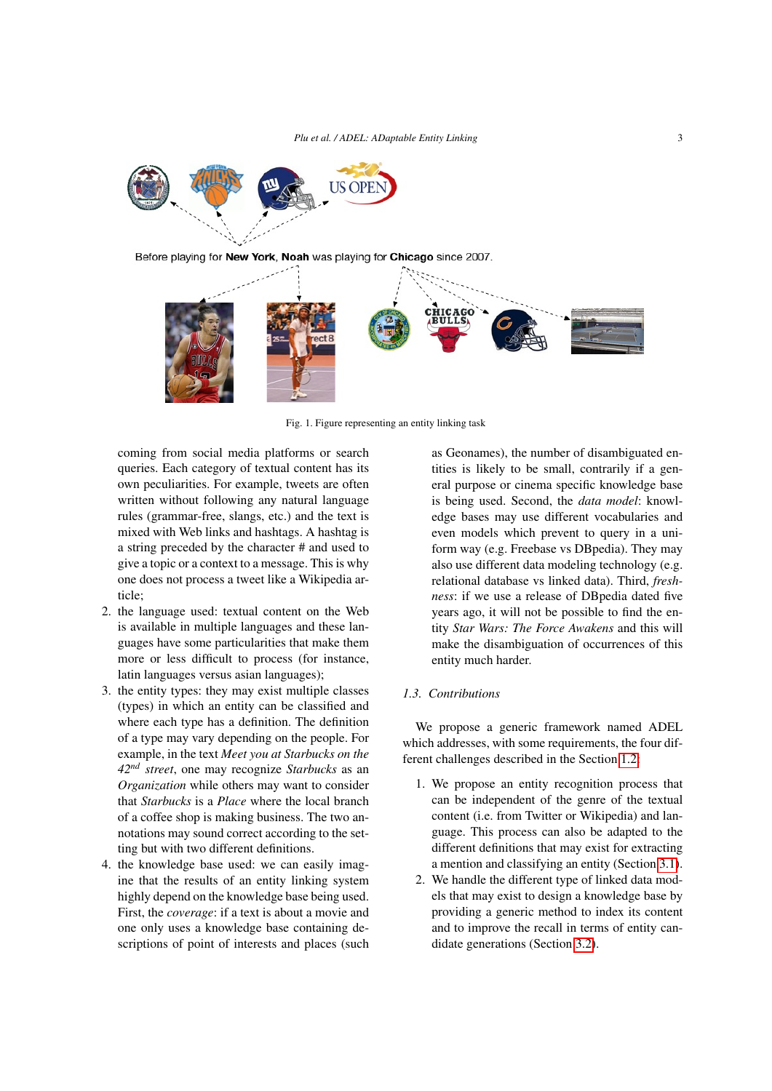<span id="page-2-0"></span>

Before playing for New York, Noah was playing for Chicago since 2007.



Fig. 1. Figure representing an entity linking task

coming from social media platforms or search queries. Each category of textual content has its own peculiarities. For example, tweets are often written without following any natural language rules (grammar-free, slangs, etc.) and the text is mixed with Web links and hashtags. A hashtag is a string preceded by the character # and used to give a topic or a context to a message. This is why one does not process a tweet like a Wikipedia article;

- 2. the language used: textual content on the Web is available in multiple languages and these languages have some particularities that make them more or less difficult to process (for instance, latin languages versus asian languages);
- 3. the entity types: they may exist multiple classes (types) in which an entity can be classified and where each type has a definition. The definition of a type may vary depending on the people. For example, in the text *Meet you at Starbucks on the 42nd street*, one may recognize *Starbucks* as an *Organization* while others may want to consider that *Starbucks* is a *Place* where the local branch of a coffee shop is making business. The two annotations may sound correct according to the setting but with two different definitions.
- 4. the knowledge base used: we can easily imagine that the results of an entity linking system highly depend on the knowledge base being used. First, the *coverage*: if a text is about a movie and one only uses a knowledge base containing descriptions of point of interests and places (such

as Geonames), the number of disambiguated entities is likely to be small, contrarily if a general purpose or cinema specific knowledge base is being used. Second, the *data model*: knowledge bases may use different vocabularies and even models which prevent to query in a uniform way (e.g. Freebase vs DBpedia). They may also use different data modeling technology (e.g. relational database vs linked data). Third, *freshness*: if we use a release of DBpedia dated five years ago, it will not be possible to find the entity *Star Wars: The Force Awakens* and this will make the disambiguation of occurrences of this entity much harder.

## *1.3. Contributions*

We propose a generic framework named ADEL which addresses, with some requirements, the four different challenges described in the Section [1.2:](#page-1-7)

- 1. We propose an entity recognition process that can be independent of the genre of the textual content (i.e. from Twitter or Wikipedia) and language. This process can also be adapted to the different definitions that may exist for extracting a mention and classifying an entity (Section [3.1\)](#page-9-0).
- 2. We handle the different type of linked data models that may exist to design a knowledge base by providing a generic method to index its content and to improve the recall in terms of entity candidate generations (Section [3.2\)](#page-12-0).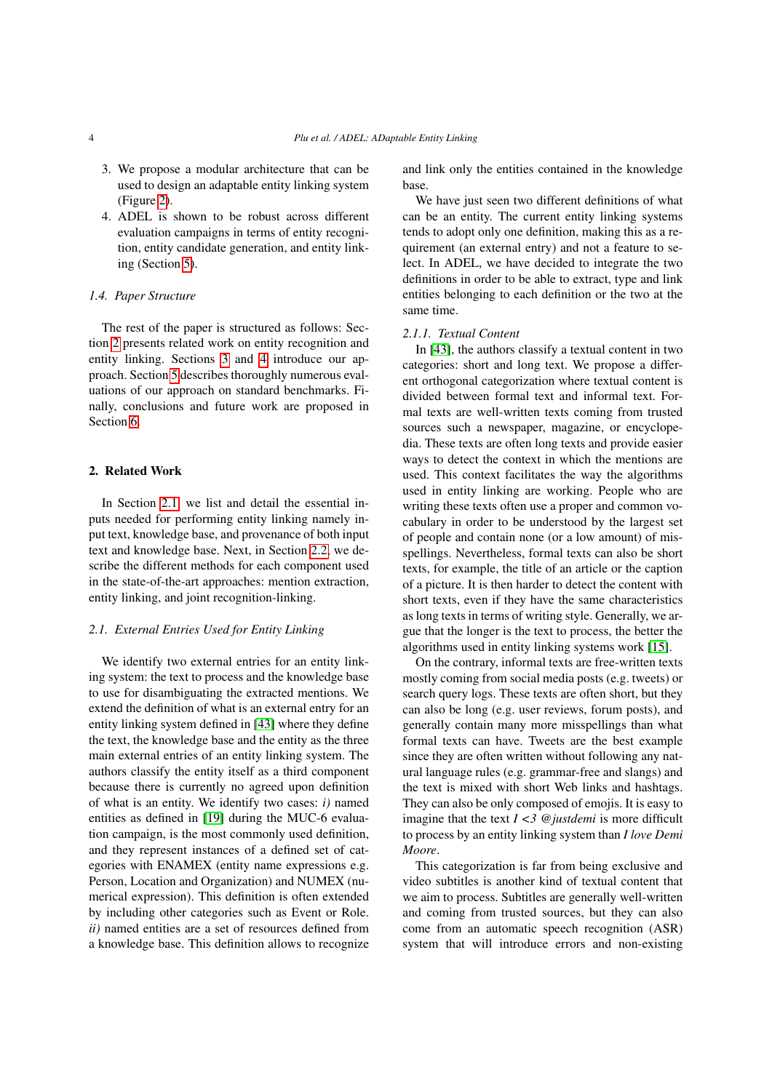- 3. We propose a modular architecture that can be used to design an adaptable entity linking system (Figure [2\)](#page-4-0).
- 4. ADEL is shown to be robust across different evaluation campaigns in terms of entity recognition, entity candidate generation, and entity linking (Section [5\)](#page-16-0).

#### *1.4. Paper Structure*

The rest of the paper is structured as follows: Section [2](#page-3-0) presents related work on entity recognition and entity linking. Sections [3](#page-9-1) and [4](#page-15-0) introduce our approach. Section [5](#page-16-0) describes thoroughly numerous evaluations of our approach on standard benchmarks. Finally, conclusions and future work are proposed in Section [6.](#page-21-0)

### <span id="page-3-0"></span>2. Related Work

In Section [2.1,](#page-3-1) we list and detail the essential inputs needed for performing entity linking namely input text, knowledge base, and provenance of both input text and knowledge base. Next, in Section [2.2,](#page-6-0) we describe the different methods for each component used in the state-of-the-art approaches: mention extraction, entity linking, and joint recognition-linking.

# <span id="page-3-1"></span>*2.1. External Entries Used for Entity Linking*

We identify two external entries for an entity linking system: the text to process and the knowledge base to use for disambiguating the extracted mentions. We extend the definition of what is an external entry for an entity linking system defined in [\[43\]](#page-23-1) where they define the text, the knowledge base and the entity as the three main external entries of an entity linking system. The authors classify the entity itself as a third component because there is currently no agreed upon definition of what is an entity. We identify two cases: *i)* named entities as defined in [\[19\]](#page-22-1) during the MUC-6 evaluation campaign, is the most commonly used definition, and they represent instances of a defined set of categories with ENAMEX (entity name expressions e.g. Person, Location and Organization) and NUMEX (numerical expression). This definition is often extended by including other categories such as Event or Role. *ii)* named entities are a set of resources defined from a knowledge base. This definition allows to recognize and link only the entities contained in the knowledge base.

We have just seen two different definitions of what can be an entity. The current entity linking systems tends to adopt only one definition, making this as a requirement (an external entry) and not a feature to select. In ADEL, we have decided to integrate the two definitions in order to be able to extract, type and link entities belonging to each definition or the two at the same time.

## *2.1.1. Textual Content*

In [\[43\]](#page-23-1), the authors classify a textual content in two categories: short and long text. We propose a different orthogonal categorization where textual content is divided between formal text and informal text. Formal texts are well-written texts coming from trusted sources such a newspaper, magazine, or encyclopedia. These texts are often long texts and provide easier ways to detect the context in which the mentions are used. This context facilitates the way the algorithms used in entity linking are working. People who are writing these texts often use a proper and common vocabulary in order to be understood by the largest set of people and contain none (or a low amount) of misspellings. Nevertheless, formal texts can also be short texts, for example, the title of an article or the caption of a picture. It is then harder to detect the content with short texts, even if they have the same characteristics as long texts in terms of writing style. Generally, we argue that the longer is the text to process, the better the algorithms used in entity linking systems work [\[15\]](#page-22-2).

On the contrary, informal texts are free-written texts mostly coming from social media posts (e.g. tweets) or search query logs. These texts are often short, but they can also be long (e.g. user reviews, forum posts), and generally contain many more misspellings than what formal texts can have. Tweets are the best example since they are often written without following any natural language rules (e.g. grammar-free and slangs) and the text is mixed with short Web links and hashtags. They can also be only composed of emojis. It is easy to imagine that the text *I <3 @justdemi* is more difficult to process by an entity linking system than *I love Demi Moore*.

This categorization is far from being exclusive and video subtitles is another kind of textual content that we aim to process. Subtitles are generally well-written and coming from trusted sources, but they can also come from an automatic speech recognition (ASR) system that will introduce errors and non-existing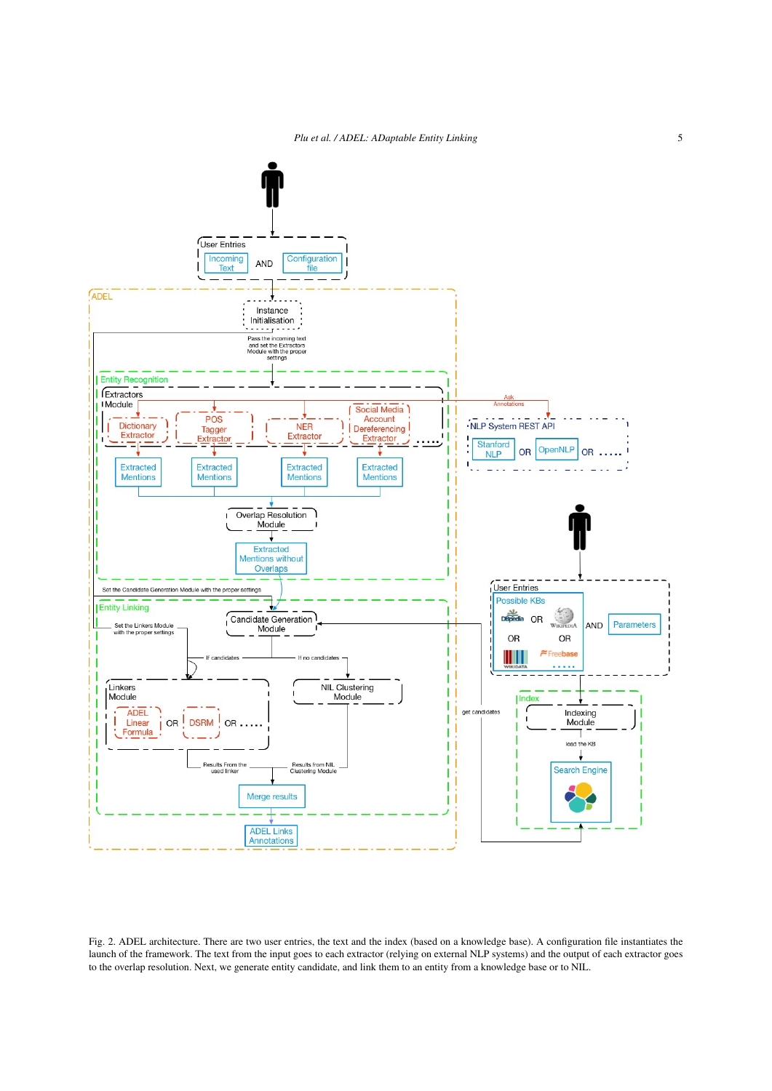<span id="page-4-0"></span>

Fig. 2. ADEL architecture. There are two user entries, the text and the index (based on a knowledge base). A configuration file instantiates the launch of the framework. The text from the input goes to each extractor (relying on external NLP systems) and the output of each extractor goes to the overlap resolution. Next, we generate entity candidate, and link them to an entity from a knowledge base or to NIL.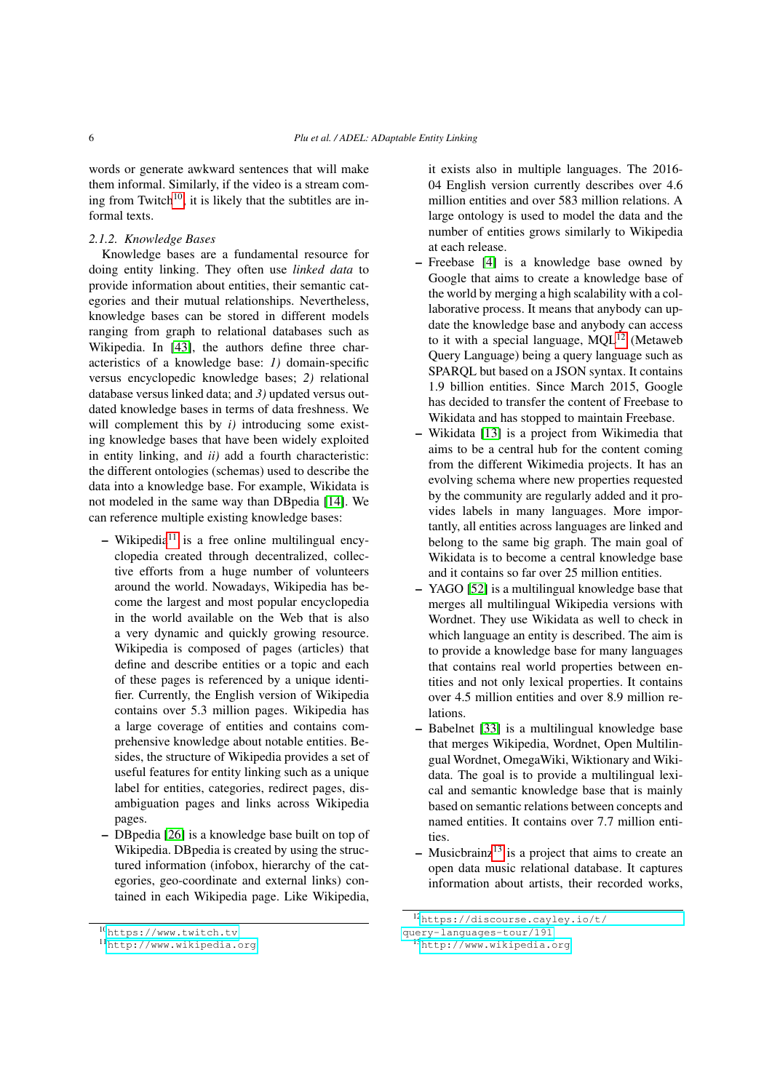words or generate awkward sentences that will make them informal. Similarly, if the video is a stream com-ing from Twitch<sup>[10](#page-5-0)</sup>, it is likely that the subtitles are informal texts.

## <span id="page-5-4"></span>*2.1.2. Knowledge Bases*

Knowledge bases are a fundamental resource for doing entity linking. They often use *linked data* to provide information about entities, their semantic categories and their mutual relationships. Nevertheless, knowledge bases can be stored in different models ranging from graph to relational databases such as Wikipedia. In [\[43\]](#page-23-1), the authors define three characteristics of a knowledge base: *1)* domain-specific versus encyclopedic knowledge bases; *2)* relational database versus linked data; and *3)* updated versus outdated knowledge bases in terms of data freshness. We will complement this by *i*) introducing some existing knowledge bases that have been widely exploited in entity linking, and *ii)* add a fourth characteristic: the different ontologies (schemas) used to describe the data into a knowledge base. For example, Wikidata is not modeled in the same way than DBpedia [\[14\]](#page-22-3). We can reference multiple existing knowledge bases:

- $-$  Wikipedia<sup>[11](#page-5-1)</sup> is a free online multilingual encyclopedia created through decentralized, collective efforts from a huge number of volunteers around the world. Nowadays, Wikipedia has become the largest and most popular encyclopedia in the world available on the Web that is also a very dynamic and quickly growing resource. Wikipedia is composed of pages (articles) that define and describe entities or a topic and each of these pages is referenced by a unique identifier. Currently, the English version of Wikipedia contains over 5.3 million pages. Wikipedia has a large coverage of entities and contains comprehensive knowledge about notable entities. Besides, the structure of Wikipedia provides a set of useful features for entity linking such as a unique label for entities, categories, redirect pages, disambiguation pages and links across Wikipedia pages.
- DBpedia [\[26\]](#page-22-4) is a knowledge base built on top of Wikipedia. DBpedia is created by using the structured information (infobox, hierarchy of the categories, geo-coordinate and external links) contained in each Wikipedia page. Like Wikipedia,

it exists also in multiple languages. The 2016- 04 English version currently describes over 4.6 million entities and over 583 million relations. A large ontology is used to model the data and the number of entities grows similarly to Wikipedia at each release.

- Freebase [\[4\]](#page-22-5) is a knowledge base owned by Google that aims to create a knowledge base of the world by merging a high scalability with a collaborative process. It means that anybody can update the knowledge base and anybody can access to it with a special language,  $MQL<sup>12</sup>$  $MQL<sup>12</sup>$  $MQL<sup>12</sup>$  (Metaweb Query Language) being a query language such as SPARQL but based on a JSON syntax. It contains 1.9 billion entities. Since March 2015, Google has decided to transfer the content of Freebase to Wikidata and has stopped to maintain Freebase.
- Wikidata [\[13\]](#page-22-6) is a project from Wikimedia that aims to be a central hub for the content coming from the different Wikimedia projects. It has an evolving schema where new properties requested by the community are regularly added and it provides labels in many languages. More importantly, all entities across languages are linked and belong to the same big graph. The main goal of Wikidata is to become a central knowledge base and it contains so far over 25 million entities.
- YAGO [\[52\]](#page-23-2) is a multilingual knowledge base that merges all multilingual Wikipedia versions with Wordnet. They use Wikidata as well to check in which language an entity is described. The aim is to provide a knowledge base for many languages that contains real world properties between entities and not only lexical properties. It contains over 4.5 million entities and over 8.9 million relations.
- Babelnet [\[33\]](#page-23-3) is a multilingual knowledge base that merges Wikipedia, Wordnet, Open Multilingual Wordnet, OmegaWiki, Wiktionary and Wikidata. The goal is to provide a multilingual lexical and semantic knowledge base that is mainly based on semantic relations between concepts and named entities. It contains over 7.7 million entities.
- $-$  Musicbrainz<sup>[13](#page-5-3)</sup> is a project that aims to create an open data music relational database. It captures information about artists, their recorded works,

<span id="page-5-0"></span><sup>10</sup><https://www.twitch.tv>

<span id="page-5-1"></span><sup>11</sup><http://www.wikipedia.org>

<span id="page-5-2"></span><sup>12</sup>[https://discourse.cayley.io/t/](https://discourse.cayley.io/t/query-languages-tour/191)

[query-languages-tour/191](https://discourse.cayley.io/t/query-languages-tour/191)

<span id="page-5-3"></span><sup>13</sup><http://www.wikipedia.org>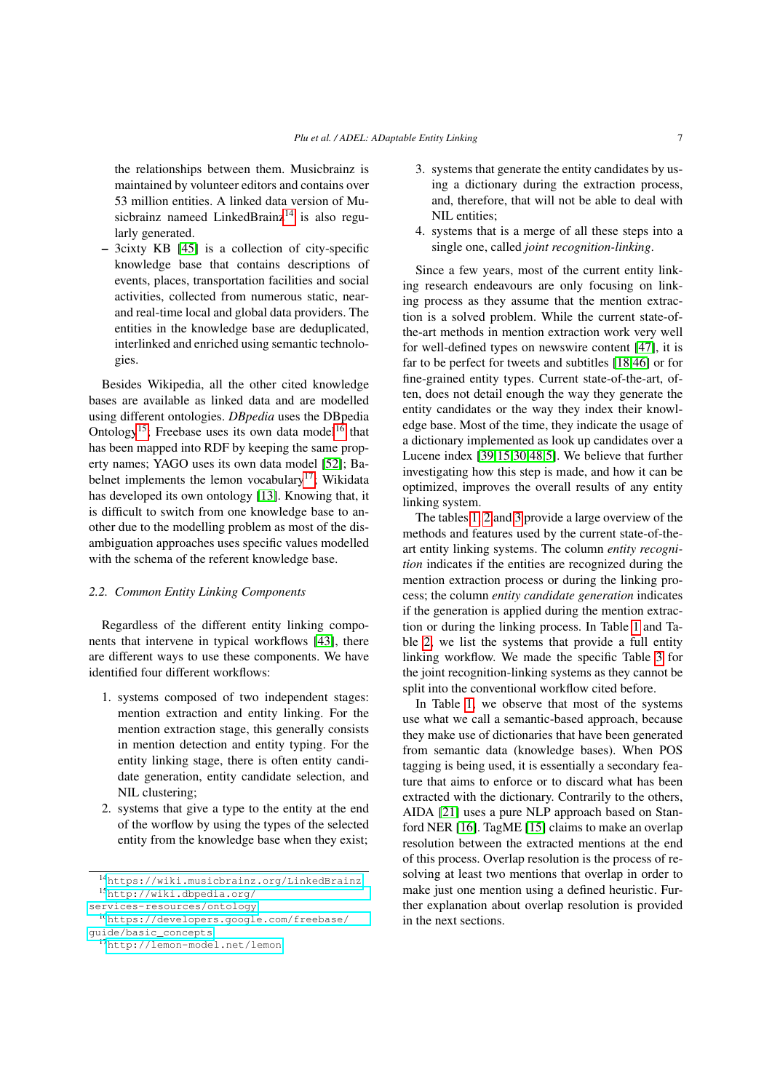the relationships between them. Musicbrainz is maintained by volunteer editors and contains over 53 million entities. A linked data version of Musicbrainz nameed LinkedBrain $z^{14}$  $z^{14}$  $z^{14}$  is also regularly generated.

– 3cixty KB [\[45\]](#page-23-4) is a collection of city-specific knowledge base that contains descriptions of events, places, transportation facilities and social activities, collected from numerous static, nearand real-time local and global data providers. The entities in the knowledge base are deduplicated, interlinked and enriched using semantic technologies.

Besides Wikipedia, all the other cited knowledge bases are available as linked data and are modelled using different ontologies. *DBpedia* uses the DBpedia Ontology<sup>[15](#page-6-2)</sup>; Freebase uses its own data model<sup>[16](#page-6-3)</sup> that has been mapped into RDF by keeping the same property names; YAGO uses its own data model [\[52\]](#page-23-2); Ba-belnet implements the lemon vocabulary<sup>[17](#page-6-4)</sup>; Wikidata has developed its own ontology [\[13\]](#page-22-6). Knowing that, it is difficult to switch from one knowledge base to another due to the modelling problem as most of the disambiguation approaches uses specific values modelled with the schema of the referent knowledge base.

## <span id="page-6-0"></span>*2.2. Common Entity Linking Components*

Regardless of the different entity linking components that intervene in typical workflows [\[43\]](#page-23-1), there are different ways to use these components. We have identified four different workflows:

- 1. systems composed of two independent stages: mention extraction and entity linking. For the mention extraction stage, this generally consists in mention detection and entity typing. For the entity linking stage, there is often entity candidate generation, entity candidate selection, and NIL clustering;
- 2. systems that give a type to the entity at the end of the worflow by using the types of the selected entity from the knowledge base when they exist;
- 3. systems that generate the entity candidates by using a dictionary during the extraction process, and, therefore, that will not be able to deal with NIL entities;
- 4. systems that is a merge of all these steps into a single one, called *joint recognition-linking*.

Since a few years, most of the current entity linking research endeavours are only focusing on linking process as they assume that the mention extraction is a solved problem. While the current state-ofthe-art methods in mention extraction work very well for well-defined types on newswire content [\[47\]](#page-23-5), it is far to be perfect for tweets and subtitles [\[18,](#page-22-7)[46\]](#page-23-6) or for fine-grained entity types. Current state-of-the-art, often, does not detail enough the way they generate the entity candidates or the way they index their knowledge base. Most of the time, they indicate the usage of a dictionary implemented as look up candidates over a Lucene index [\[39](#page-23-7)[,15](#page-22-2)[,30,](#page-23-8)[48,](#page-23-9)[5\]](#page-22-8). We believe that further investigating how this step is made, and how it can be optimized, improves the overall results of any entity linking system.

The tables [1,](#page-7-0) [2](#page-8-0) and [3](#page-10-0) provide a large overview of the methods and features used by the current state-of-theart entity linking systems. The column *entity recognition* indicates if the entities are recognized during the mention extraction process or during the linking process; the column *entity candidate generation* indicates if the generation is applied during the mention extraction or during the linking process. In Table [1](#page-7-0) and Table [2,](#page-8-0) we list the systems that provide a full entity linking workflow. We made the specific Table [3](#page-10-0) for the joint recognition-linking systems as they cannot be split into the conventional workflow cited before.

In Table [1,](#page-7-0) we observe that most of the systems use what we call a semantic-based approach, because they make use of dictionaries that have been generated from semantic data (knowledge bases). When POS tagging is being used, it is essentially a secondary feature that aims to enforce or to discard what has been extracted with the dictionary. Contrarily to the others, AIDA [\[21\]](#page-22-9) uses a pure NLP approach based on Stanford NER [\[16\]](#page-22-10). TagME [\[15\]](#page-22-2) claims to make an overlap resolution between the extracted mentions at the end of this process. Overlap resolution is the process of resolving at least two mentions that overlap in order to make just one mention using a defined heuristic. Further explanation about overlap resolution is provided in the next sections.

<span id="page-6-2"></span><span id="page-6-1"></span><sup>14</sup><https://wiki.musicbrainz.org/LinkedBrainz> <sup>15</sup>[http://wiki.dbpedia.org/](http://wiki.dbpedia.org/services-resources/ontology) [services-resources/ontology](http://wiki.dbpedia.org/services-resources/ontology)

<span id="page-6-3"></span><sup>16</sup>[https://developers.google.com/freebase/](https://developers.google.com/freebase/guide/basic_concepts) [guide/basic\\_concepts](https://developers.google.com/freebase/guide/basic_concepts)

<span id="page-6-4"></span><sup>17</sup><http://lemon-model.net/lemon>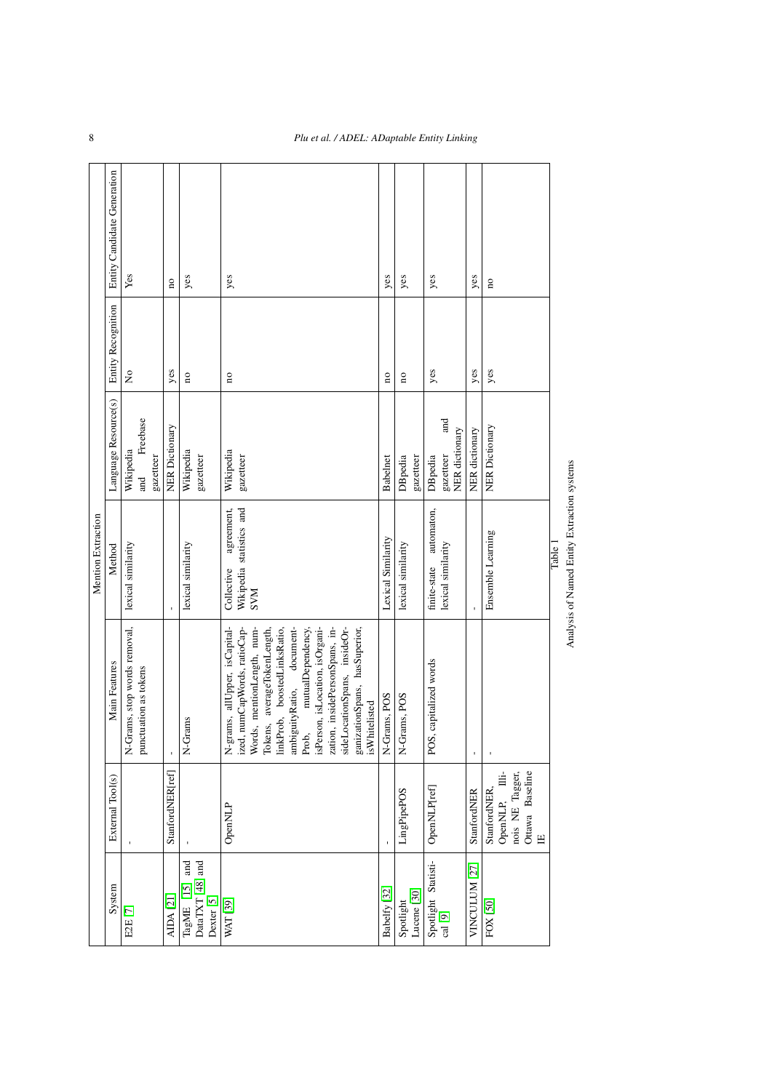<span id="page-7-0"></span>

|                    | Entity Candidate Generation | Yes                                                   | $\overline{\mathbf{n}}$ | yes                                                              | yes                                                                                                                                                                                                                                                                                  | yes                     | yes                                 | yes                                               | yes                      | $\overline{\mathbf{n}}$                                                       |                                                      |
|--------------------|-----------------------------|-------------------------------------------------------|-------------------------|------------------------------------------------------------------|--------------------------------------------------------------------------------------------------------------------------------------------------------------------------------------------------------------------------------------------------------------------------------------|-------------------------|-------------------------------------|---------------------------------------------------|--------------------------|-------------------------------------------------------------------------------|------------------------------------------------------|
|                    | <b>Entity Recognition</b>   | $\tilde{z}$                                           | yes                     | $\overline{\mathbf{n}}$                                          | $\overline{\mathbf{n}}$                                                                                                                                                                                                                                                              | $\overline{\mathbf{a}}$ | $\overline{\mathbf{n}}$             | yes                                               | yes                      | yes                                                                           |                                                      |
|                    | Language Resource(s)        | Freebase<br>Wikipedia<br>gazetteer<br>and             | <b>NER</b> Dictionary   | Wikipedia<br>gazetteer                                           | Wikipedia<br>gazetteer                                                                                                                                                                                                                                                               | <b>Babelnet</b>         | DBpedia<br>gazetteer                | and<br>gazetteer and<br>NER dictionary<br>DBpedia | NER dictionary           | NER Dictionary                                                                |                                                      |
| Mention Extraction | Method                      | lexical similarity                                    |                         | lexical similarity                                               | Wikipedia statistics and<br>agreement,<br>Collective<br><b>NNS</b>                                                                                                                                                                                                                   | Lexical Similarity      | lexical similarity                  | automaton,<br>lexical similarity<br>finite-state  |                          | Ensemble Learning                                                             | Analysis of Named Entity Extraction systems<br>Table |
|                    | Main Features               | N-Grams, stop words removal,<br>punctuation as tokens |                         | N-Grams                                                          | N-grams, all<br>Upper, is<br>Capital-<br>ized, num<br>CapWords, ratio<br>Cap-<br>Words, ratio<br>Cap-<br>Words, ratio<br>Cap-<br>Tokens, average<br>TokenLength, mum-<br>inkerbo, document-<br>ambiguity<br>Ratio, document-<br>Prob, mutual<br>Dependency, is<br>Person, is<br>Loca | N-Grams, POS            | N-Grams, POS                        | POS, capitalized words                            | ï                        | $\bar{1}$                                                                     |                                                      |
|                    | External Tool(s)            |                                                       | StanfordNER[ref]        |                                                                  | OpenNLP                                                                                                                                                                                                                                                                              |                         | LingPipePOS                         | OpenNLP[ref]                                      | StanfordNER              | nois NE Tagger,<br>StanfordNER,<br>OpenNLP, Illi-<br>Ottawa Baseline<br>$\Xi$ |                                                      |
|                    | System                      | E2E[7]                                                | <b>AIDA</b> [21]        | and<br>DataTXT [48] and<br>TagME $[15]$<br>Dexter <sup>[5]</sup> | WAT [39]                                                                                                                                                                                                                                                                             | Babelfy [32]            | Lucene <sup>[30]</sup><br>Spotlight | Spotlight Statisti-<br>cal [9]                    | VINCULUM <sub>[27]</sub> | FOX [50]                                                                      |                                                      |

8 *Plu et al. / ADEL: ADaptable Entity Linking*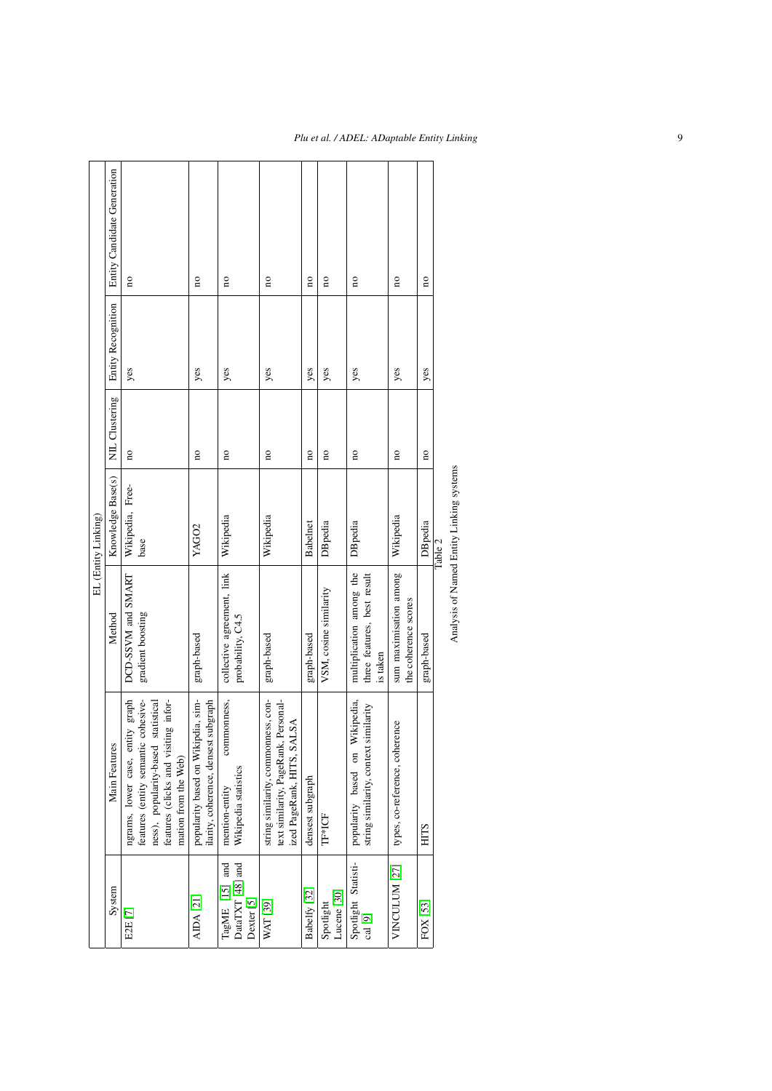|                     | Entity Candidate Generation | $\overline{\mathbf{n}}$                                                                                                                                                           | $\overline{\mathbf{n}}$                                                    | $\overline{\mathbf{n}}$                                     | $\overline{10}$                                                                                              | $\overline{\mathbf{n}}$ | $\overline{10}$                     | $\overline{\mathbf{n}}$                                                    | $\overline{\mathbf{n}}$                        | $\overline{\mathbf{n}}$ |         |
|---------------------|-----------------------------|-----------------------------------------------------------------------------------------------------------------------------------------------------------------------------------|----------------------------------------------------------------------------|-------------------------------------------------------------|--------------------------------------------------------------------------------------------------------------|-------------------------|-------------------------------------|----------------------------------------------------------------------------|------------------------------------------------|-------------------------|---------|
|                     | <b>Entity Recognition</b>   | yes                                                                                                                                                                               | yes                                                                        | yes                                                         | yes                                                                                                          | yes                     | yes                                 | yes                                                                        | yes                                            | yes                     |         |
|                     | NIL Clustering              | $\overline{\mathbf{n}}$                                                                                                                                                           | $\overline{\mathbf{n}}$                                                    | $\overline{10}$                                             | $\overline{10}$                                                                                              | $\overline{\mathbf{n}}$ | $\overline{10}$                     | $\overline{\mathbf{n}}$                                                    | $\overline{\mathbf{n}}$                        | $\overline{\mathbf{n}}$ |         |
| EL (Entity Linking) | Knowledge Base(s)           | Wikipedia, Free-<br>base                                                                                                                                                          | YAGO <sub>2</sub>                                                          | Wikipedia                                                   | Wikipedia                                                                                                    | <b>Babelnet</b>         | DBpedia                             | DBpedia                                                                    | Wikipedia                                      | DBpedia                 | Table 2 |
|                     | Method                      | DCD-SSVM and SMART<br>gradient boosting                                                                                                                                           | graph-based                                                                | collective agreement, link<br>probability, C4.5             | graph-based                                                                                                  | graph-based             | VSM, cosine similarity              | multiplication among the<br>three features, best result<br>is taken        | sum maximisation among<br>the coherence scores | graph-based             |         |
|                     | Main Features               | ngrams, lower case, entity graph<br>features (entity semantic cohesive-<br>features (clicks and visiting infor-<br>statistical<br>ness), popularity-based<br>mation from the Web) | popularity based on Wikipdia, sim-<br>ilarity, coherence, densest subgraph | commonness,<br>Wikipedia statistics<br>mention-entity       | string similarity, commonness, con-<br>Personal-<br>ized PageRank, HITS, SALSA<br>text similarity, PageRank, | densest subgraph        | TF*ICF                              | Wikipedia,<br>string similarity, context similarity<br>popularity based on | types, co-reference, coherence                 | <b>HITS</b>             |         |
|                     | System                      | E2E [7]                                                                                                                                                                           | <b>AIDA</b> [21]                                                           | DataTXT [48] and<br>TagME [15] and<br>Dexter <sup>[5]</sup> | WAT [39]                                                                                                     | Babelfy [32]            | Lucene <sup>[30]</sup><br>Spotlight | Spotlight Statisti-<br>cal [9]                                             | VINCULUM <sup>[27]</sup>                       | FOX [53]                |         |

<span id="page-8-0"></span>Analysis of Named Entity Linking systems Analysis of Named Entity Linking systems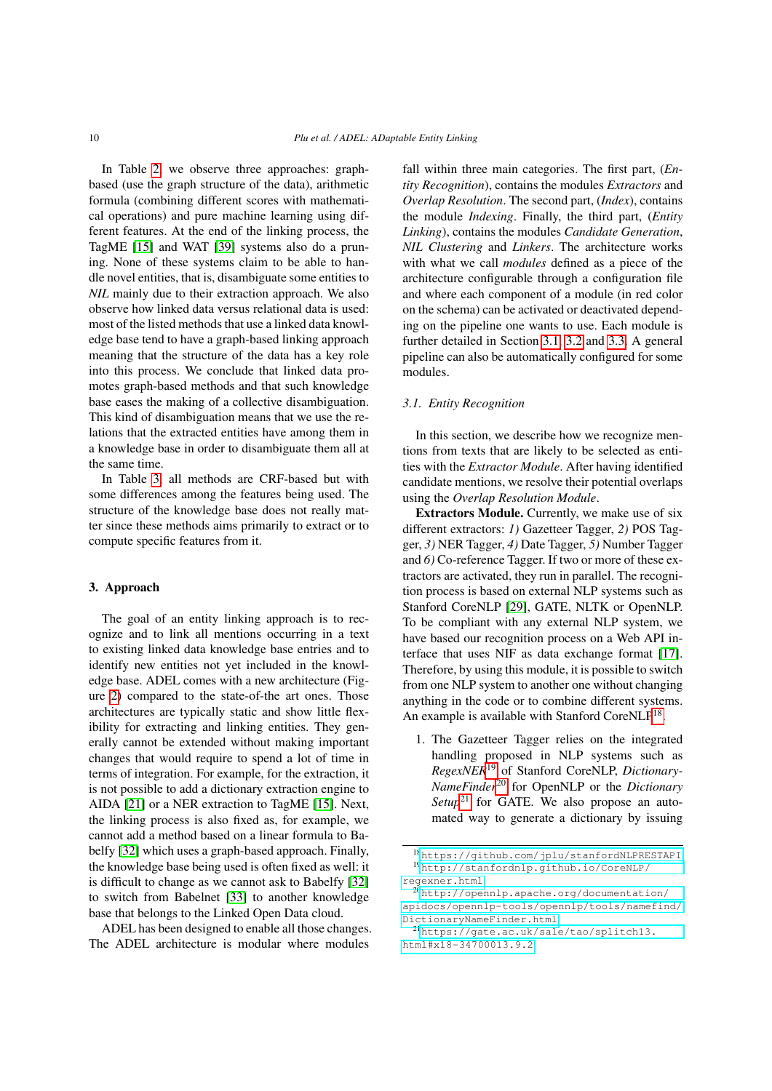In Table [2,](#page-8-0) we observe three approaches: graphbased (use the graph structure of the data), arithmetic formula (combining different scores with mathematical operations) and pure machine learning using different features. At the end of the linking process, the TagME [\[15\]](#page-22-2) and WAT [\[39\]](#page-23-7) systems also do a pruning. None of these systems claim to be able to handle novel entities, that is, disambiguate some entities to *NIL* mainly due to their extraction approach. We also observe how linked data versus relational data is used: most of the listed methods that use a linked data knowledge base tend to have a graph-based linking approach meaning that the structure of the data has a key role into this process. We conclude that linked data promotes graph-based methods and that such knowledge base eases the making of a collective disambiguation. This kind of disambiguation means that we use the relations that the extracted entities have among them in a knowledge base in order to disambiguate them all at the same time.

In Table [3,](#page-10-0) all methods are CRF-based but with some differences among the features being used. The structure of the knowledge base does not really matter since these methods aims primarily to extract or to compute specific features from it.

#### <span id="page-9-1"></span>3. Approach

The goal of an entity linking approach is to recognize and to link all mentions occurring in a text to existing linked data knowledge base entries and to identify new entities not yet included in the knowledge base. ADEL comes with a new architecture (Figure [2\)](#page-4-0) compared to the state-of-the art ones. Those architectures are typically static and show little flexibility for extracting and linking entities. They generally cannot be extended without making important changes that would require to spend a lot of time in terms of integration. For example, for the extraction, it is not possible to add a dictionary extraction engine to AIDA [\[21\]](#page-22-9) or a NER extraction to TagME [\[15\]](#page-22-2). Next, the linking process is also fixed as, for example, we cannot add a method based on a linear formula to Babelfy [\[32\]](#page-23-10) which uses a graph-based approach. Finally, the knowledge base being used is often fixed as well: it is difficult to change as we cannot ask to Babelfy [\[32\]](#page-23-10) to switch from Babelnet [\[33\]](#page-23-3) to another knowledge base that belongs to the Linked Open Data cloud.

ADEL has been designed to enable all those changes. The ADEL architecture is modular where modules

fall within three main categories. The first part, (*Entity Recognition*), contains the modules *Extractors* and *Overlap Resolution*. The second part, (*Index*), contains the module *Indexing*. Finally, the third part, (*Entity Linking*), contains the modules *Candidate Generation*, *NIL Clustering* and *Linkers*. The architecture works with what we call *modules* defined as a piece of the architecture configurable through a configuration file and where each component of a module (in red color on the schema) can be activated or deactivated depending on the pipeline one wants to use. Each module is further detailed in Section [3.1,](#page-9-0) [3.2](#page-12-0) and [3.3.](#page-14-0) A general pipeline can also be automatically configured for some modules.

#### <span id="page-9-0"></span>*3.1. Entity Recognition*

In this section, we describe how we recognize mentions from texts that are likely to be selected as entities with the *Extractor Module*. After having identified candidate mentions, we resolve their potential overlaps using the *Overlap Resolution Module*.

Extractors Module. Currently, we make use of six different extractors: *1)* Gazetteer Tagger, *2)* POS Tagger, *3)* NER Tagger, *4)* Date Tagger, *5)* Number Tagger and *6)* Co-reference Tagger. If two or more of these extractors are activated, they run in parallel. The recognition process is based on external NLP systems such as Stanford CoreNLP [\[29\]](#page-23-14), GATE, NLTK or OpenNLP. To be compliant with any external NLP system, we have based our recognition process on a Web API interface that uses NIF as data exchange format [\[17\]](#page-22-13). Therefore, by using this module, it is possible to switch from one NLP system to another one without changing anything in the code or to combine different systems. An example is available with Stanford CoreNLP<sup>[18](#page-9-2)</sup>.

1. The Gazetteer Tagger relies on the integrated handling proposed in NLP systems such as *RegexNER*[19](#page-9-3) of Stanford CoreNLP, *Dictionary-NameFinder*[20](#page-9-4) for OpenNLP or the *Dictionary Setup*<sup>[21](#page-9-5)</sup> for GATE. We also propose an automated way to generate a dictionary by issuing

<span id="page-9-3"></span><span id="page-9-2"></span><sup>18</sup><https://github.com/jplu/stanfordNLPRESTAPI> <sup>19</sup>[http://stanfordnlp.github.io/CoreNLP/](http://stanfordnlp.github.io/CoreNLP/regexner.html) [regexner.html](http://stanfordnlp.github.io/CoreNLP/regexner.html)

<span id="page-9-4"></span><sup>20</sup>[http://opennlp.apache.org/documentation/](http://opennlp.apache.org/documentation/apidocs/opennlp-tools/opennlp/tools/namefind/DictionaryNameFinder.html) [apidocs/opennlp-tools/opennlp/tools/namefind/](http://opennlp.apache.org/documentation/apidocs/opennlp-tools/opennlp/tools/namefind/DictionaryNameFinder.html) [DictionaryNameFinder.html](http://opennlp.apache.org/documentation/apidocs/opennlp-tools/opennlp/tools/namefind/DictionaryNameFinder.html)

<span id="page-9-5"></span><sup>21</sup>[https://gate.ac.uk/sale/tao/splitch13.](https://gate.ac.uk/sale/tao/splitch13.html#x18-34700013.9.2) [html#x18-34700013.9.2](https://gate.ac.uk/sale/tao/splitch13.html#x18-34700013.9.2)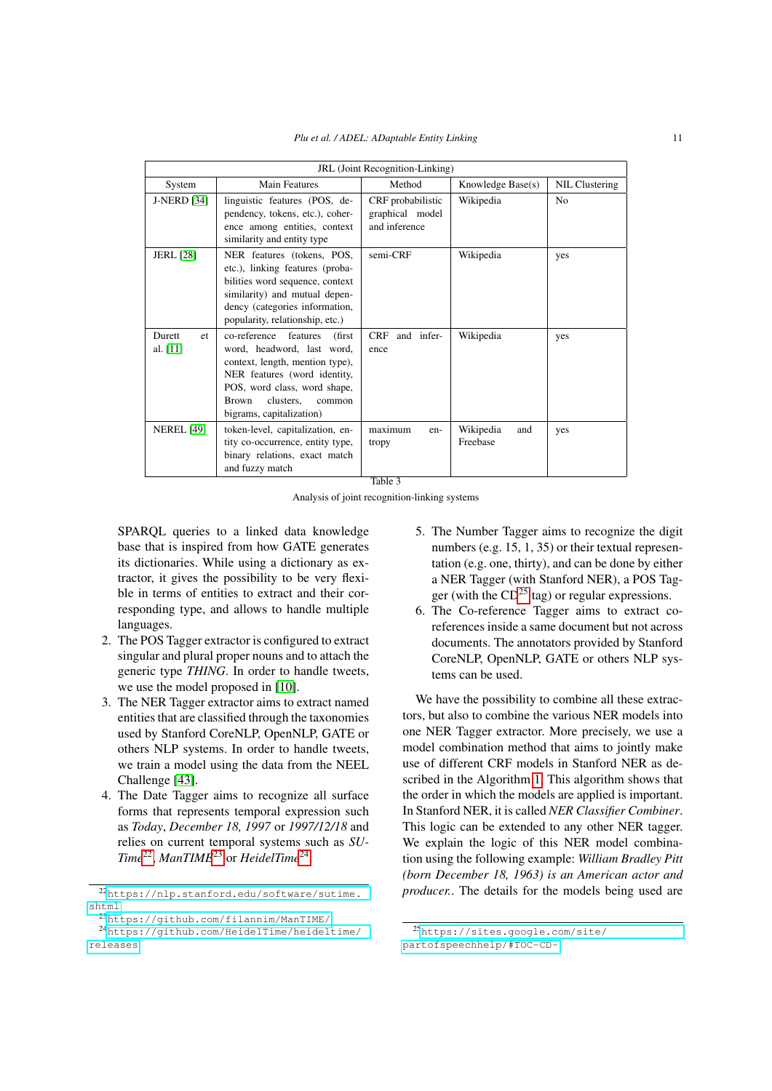<span id="page-10-0"></span>

|                            | JRL (Joint Recognition-Linking)                                                                                                                                                                                                         |                                                       |                              |                |  |  |  |  |
|----------------------------|-----------------------------------------------------------------------------------------------------------------------------------------------------------------------------------------------------------------------------------------|-------------------------------------------------------|------------------------------|----------------|--|--|--|--|
| System                     | <b>Main Features</b>                                                                                                                                                                                                                    | Method                                                | Knowledge Base(s)            | NIL Clustering |  |  |  |  |
| <b>J-NERD</b> [34]         | linguistic features (POS, de-<br>pendency, tokens, etc.), coher-<br>ence among entities, context<br>similarity and entity type                                                                                                          | CRF probabilistic<br>graphical model<br>and inference | Wikipedia                    | N <sub>0</sub> |  |  |  |  |
| <b>JERL</b> [28]           | NER features (tokens, POS,<br>etc.), linking features (proba-<br>bilities word sequence, context<br>similarity) and mutual depen-<br>dency (categories information,<br>popularity, relationship, etc.)                                  | semi-CRF                                              | Wikipedia                    | yes            |  |  |  |  |
| Durett<br>et<br>al. $[11]$ | features<br>co-reference<br>(first)<br>word, headword, last word,<br>context, length, mention type),<br>NER features (word identity,<br>POS, word class, word shape,<br><b>Brown</b><br>clusters.<br>common<br>bigrams, capitalization) | <b>CRF</b><br>and infer-<br>ence                      | Wikipedia                    | yes            |  |  |  |  |
| <b>NEREL [49]</b>          | token-level, capitalization, en-<br>tity co-occurrence, entity type,<br>binary relations, exact match<br>and fuzzy match                                                                                                                | maximum<br>en-<br>tropy                               | Wikipedia<br>and<br>Freebase | yes            |  |  |  |  |

Table 3

Analysis of joint recognition-linking systems

SPARQL queries to a linked data knowledge base that is inspired from how GATE generates its dictionaries. While using a dictionary as extractor, it gives the possibility to be very flexible in terms of entities to extract and their corresponding type, and allows to handle multiple languages.

- 2. The POS Tagger extractor is configured to extract singular and plural proper nouns and to attach the generic type *THING*. In order to handle tweets, we use the model proposed in [\[10\]](#page-22-15).
- 3. The NER Tagger extractor aims to extract named entities that are classified through the taxonomies used by Stanford CoreNLP, OpenNLP, GATE or others NLP systems. In order to handle tweets, we train a model using the data from the NEEL Challenge [\[43\]](#page-23-1).
- 4. The Date Tagger aims to recognize all surface forms that represents temporal expression such as *Today*, *December 18, 1997* or *1997/12/18* and relies on current temporal systems such as *SU-Time*[22](#page-10-1) , *ManTIME*[23](#page-10-2) or *HeidelTime*[24](#page-10-3) .
- 5. The Number Tagger aims to recognize the digit numbers (e.g. 15, 1, 35) or their textual representation (e.g. one, thirty), and can be done by either a NER Tagger (with Stanford NER), a POS Tagger (with the  $CD^{25}$  $CD^{25}$  $CD^{25}$  tag) or regular expressions.
- 6. The Co-reference Tagger aims to extract coreferences inside a same document but not across documents. The annotators provided by Stanford CoreNLP, OpenNLP, GATE or others NLP systems can be used.

We have the possibility to combine all these extractors, but also to combine the various NER models into one NER Tagger extractor. More precisely, we use a model combination method that aims to jointly make use of different CRF models in Stanford NER as described in the Algorithm [1.](#page-11-0) This algorithm shows that the order in which the models are applied is important. In Stanford NER, it is called *NER Classifier Combiner*. This logic can be extended to any other NER tagger. We explain the logic of this NER model combination using the following example: *William Bradley Pitt (born December 18, 1963) is an American actor and producer.*. The details for the models being used are

<span id="page-10-1"></span><sup>22</sup>[https://nlp.stanford.edu/software/sutime.](https://nlp.stanford.edu/software/sutime.shtml) [shtml](https://nlp.stanford.edu/software/sutime.shtml)

<span id="page-10-3"></span><span id="page-10-2"></span><sup>23</sup><https://github.com/filannim/ManTIME/> <sup>24</sup>[https://github.com/HeidelTime/heideltime/](https://github.com/HeidelTime/heideltime/releases) [releases](https://github.com/HeidelTime/heideltime/releases)

<span id="page-10-4"></span><sup>25</sup>[https://sites.google.com/site/](https://sites.google.com/site/partofspeechhelp/#TOC-CD-) [partofspeechhelp/#TOC-CD-](https://sites.google.com/site/partofspeechhelp/#TOC-CD-)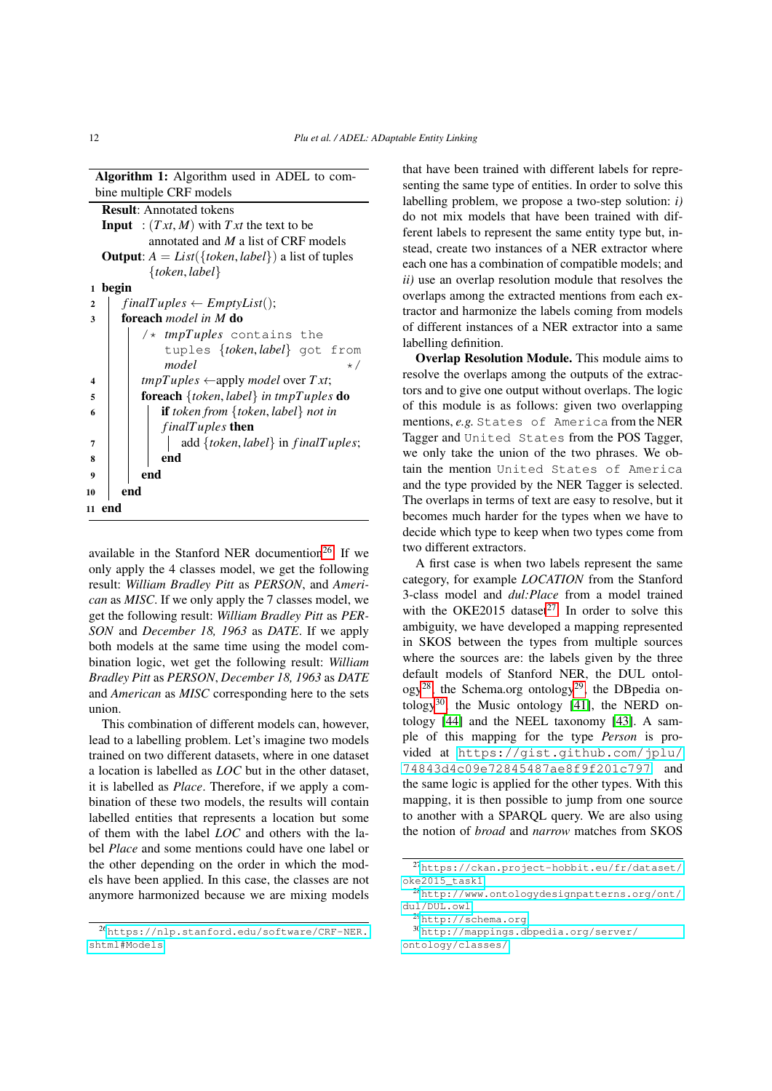Algorithm 1: Algorithm used in ADEL to combine multiple CRF models

|              |                                        | <b>Result:</b> Annotated tokens                                    |  |  |  |  |  |  |  |
|--------------|----------------------------------------|--------------------------------------------------------------------|--|--|--|--|--|--|--|
|              |                                        | <b>Input</b> : $(Txt, M)$ with Txt the text to be                  |  |  |  |  |  |  |  |
|              | annotated and $M$ a list of CRF models |                                                                    |  |  |  |  |  |  |  |
|              |                                        | <b>Output:</b> $A = List({\{token, label\}})$ a list of tuples     |  |  |  |  |  |  |  |
|              |                                        | $\{token, label\}$                                                 |  |  |  |  |  |  |  |
| 1            | begin                                  |                                                                    |  |  |  |  |  |  |  |
| $\mathbf{2}$ |                                        | $finalTuples \leftarrow EmptyList();$                              |  |  |  |  |  |  |  |
| 3            |                                        | foreach <i>model in</i> M do                                       |  |  |  |  |  |  |  |
|              |                                        | $\sqrt{\star}$ <i>tmpTuples</i> contains the                       |  |  |  |  |  |  |  |
|              |                                        | tuples {token, label} got from                                     |  |  |  |  |  |  |  |
|              |                                        | model<br>$\star/$                                                  |  |  |  |  |  |  |  |
| 4            |                                        | <i>tmpTuples</i> $\leftarrow$ apply <i>model</i> over <i>Txt</i> ; |  |  |  |  |  |  |  |
| 5            |                                        | <b>foreach</b> {token, label} in tmpTuples <b>do</b>               |  |  |  |  |  |  |  |
| 6            |                                        | <b>if</b> token from $\{token, label\}$ not in                     |  |  |  |  |  |  |  |
|              |                                        | $finalTuples$ then                                                 |  |  |  |  |  |  |  |
| 7            |                                        | add {token, label} in $finalTuples;$                               |  |  |  |  |  |  |  |
| 8            |                                        | end                                                                |  |  |  |  |  |  |  |
| q            |                                        | end                                                                |  |  |  |  |  |  |  |
| 10           | end                                    |                                                                    |  |  |  |  |  |  |  |
|              | 11 end                                 |                                                                    |  |  |  |  |  |  |  |

<span id="page-11-0"></span>available in the Stanford NER documention<sup>[26](#page-11-1)</sup>. If we only apply the 4 classes model, we get the following result: *William Bradley Pitt* as *PERSON*, and *American* as *MISC*. If we only apply the 7 classes model, we get the following result: *William Bradley Pitt* as *PER-SON* and *December 18, 1963* as *DATE*. If we apply both models at the same time using the model combination logic, wet get the following result: *William Bradley Pitt* as *PERSON*, *December 18, 1963* as *DATE* and *American* as *MISC* corresponding here to the sets union.

This combination of different models can, however, lead to a labelling problem. Let's imagine two models trained on two different datasets, where in one dataset a location is labelled as *LOC* but in the other dataset, it is labelled as *Place*. Therefore, if we apply a combination of these two models, the results will contain labelled entities that represents a location but some of them with the label *LOC* and others with the label *Place* and some mentions could have one label or the other depending on the order in which the models have been applied. In this case, the classes are not anymore harmonized because we are mixing models that have been trained with different labels for representing the same type of entities. In order to solve this labelling problem, we propose a two-step solution: *i)* do not mix models that have been trained with different labels to represent the same entity type but, instead, create two instances of a NER extractor where each one has a combination of compatible models; and *ii)* use an overlap resolution module that resolves the overlaps among the extracted mentions from each extractor and harmonize the labels coming from models of different instances of a NER extractor into a same labelling definition.

Overlap Resolution Module. This module aims to resolve the overlaps among the outputs of the extractors and to give one output without overlaps. The logic of this module is as follows: given two overlapping mentions, *e.g.* States of America from the NER Tagger and United States from the POS Tagger, we only take the union of the two phrases. We obtain the mention United States of America and the type provided by the NER Tagger is selected. The overlaps in terms of text are easy to resolve, but it becomes much harder for the types when we have to decide which type to keep when two types come from two different extractors.

A first case is when two labels represent the same category, for example *LOCATION* from the Stanford 3-class model and *dul:Place* from a model trained with the OKE2015 dataset<sup>[27](#page-11-2)</sup>. In order to solve this ambiguity, we have developed a mapping represented in SKOS between the types from multiple sources where the sources are: the labels given by the three default models of Stanford NER, the DUL ontol- $ogy^{28}$  $ogy^{28}$  $ogy^{28}$ , the Schema.org ontology<sup>[29](#page-11-4)</sup>, the DB pedia on-tology<sup>[30](#page-11-5)</sup>, the Music ontology [\[41\]](#page-23-18), the NERD ontology [\[44\]](#page-23-19) and the NEEL taxonomy [\[43\]](#page-23-1). A sample of this mapping for the type *Person* is provided at [https://gist.github.com/jplu/](https://gist.github.com/jplu/74843d4c09e72845487ae8f9f201c797) [74843d4c09e72845487ae8f9f201c797](https://gist.github.com/jplu/74843d4c09e72845487ae8f9f201c797) and the same logic is applied for the other types. With this mapping, it is then possible to jump from one source to another with a SPARQL query. We are also using the notion of *broad* and *narrow* matches from SKOS

<span id="page-11-1"></span><sup>26</sup>[https://nlp.stanford.edu/software/CRF-NER.](https://nlp.stanford.edu/software/CRF-NER.shtml#Models) [shtml#Models](https://nlp.stanford.edu/software/CRF-NER.shtml#Models)

<span id="page-11-2"></span><sup>27</sup>[https://ckan.project-hobbit.eu/fr/dataset/](https://ckan.project-hobbit.eu/fr/dataset/oke2015_task1) [oke2015\\_task1](https://ckan.project-hobbit.eu/fr/dataset/oke2015_task1)

<span id="page-11-3"></span><sup>28</sup>[http://www.ontologydesignpatterns.org/ont/](http://www.ontologydesignpatterns.org/ont/dul/DUL.owl) [dul/DUL.owl](http://www.ontologydesignpatterns.org/ont/dul/DUL.owl)

<span id="page-11-5"></span><span id="page-11-4"></span><sup>29</sup><http://schema.org>

<sup>30</sup>[http://mappings.dbpedia.org/server/](http://mappings.dbpedia.org/server/ontology/classes/) [ontology/classes/](http://mappings.dbpedia.org/server/ontology/classes/)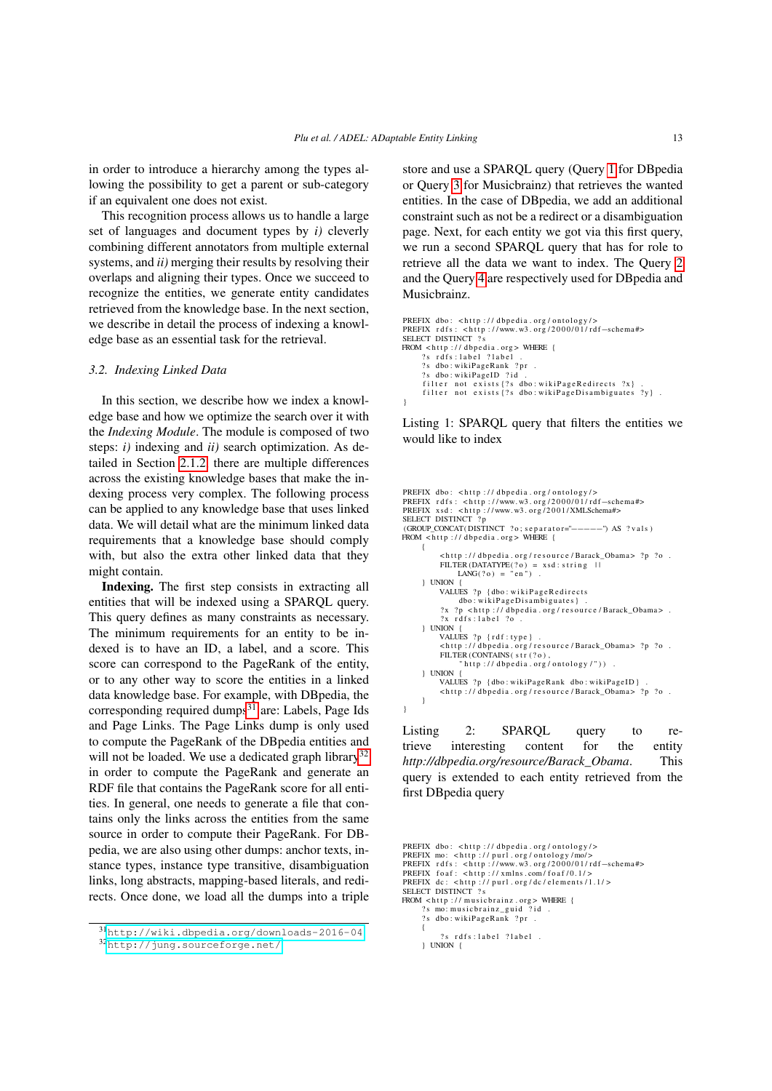in order to introduce a hierarchy among the types allowing the possibility to get a parent or sub-category if an equivalent one does not exist.

This recognition process allows us to handle a large set of languages and document types by *i)* cleverly combining different annotators from multiple external systems, and *ii)* merging their results by resolving their overlaps and aligning their types. Once we succeed to recognize the entities, we generate entity candidates retrieved from the knowledge base. In the next section, we describe in detail the process of indexing a knowledge base as an essential task for the retrieval.

#### <span id="page-12-0"></span>*3.2. Indexing Linked Data*

In this section, we describe how we index a knowledge base and how we optimize the search over it with the *Indexing Module*. The module is composed of two steps: *i)* indexing and *ii)* search optimization. As detailed in Section [2.1.2,](#page-5-4) there are multiple differences across the existing knowledge bases that make the indexing process very complex. The following process can be applied to any knowledge base that uses linked data. We will detail what are the minimum linked data requirements that a knowledge base should comply with, but also the extra other linked data that they might contain.

Indexing. The first step consists in extracting all entities that will be indexed using a SPARQL query. This query defines as many constraints as necessary. The minimum requirements for an entity to be indexed is to have an ID, a label, and a score. This score can correspond to the PageRank of the entity, or to any other way to score the entities in a linked data knowledge base. For example, with DBpedia, the corresponding required dumps<sup>[31](#page-12-1)</sup> are: Labels, Page Ids and Page Links. The Page Links dump is only used to compute the PageRank of the DBpedia entities and will not be loaded. We use a dedicated graph library<sup>[32](#page-12-2)</sup> in order to compute the PageRank and generate an RDF file that contains the PageRank score for all entities. In general, one needs to generate a file that contains only the links across the entities from the same source in order to compute their PageRank. For DBpedia, we are also using other dumps: anchor texts, instance types, instance type transitive, disambiguation links, long abstracts, mapping-based literals, and redirects. Once done, we load all the dumps into a triple store and use a SPARQL query (Query [1](#page-12-3) for DBpedia or Query [3](#page-12-4) for Musicbrainz) that retrieves the wanted entities. In the case of DBpedia, we add an additional constraint such as not be a redirect or a disambiguation page. Next, for each entity we got via this first query, we run a second SPARQL query that has for role to retrieve all the data we want to index. The Query [2](#page-12-5) and the Query [4](#page-13-0) are respectively used for DBpedia and Musicbrainz.

```
PREFIX dbo: <http://dbpedia.org/ontology/>
PREFIX rdfs: <http://www.w3.org/2000/01/rdf-schema#><br>SELECT DISTINCT ?s
FROM <http://dbpedia.org>WHERE {<br>?s rdfs:label ?label .<br>?s dbo:wikiPageRank ?pr .
       ?s dbo: wikiPageID ?id
       filter not exists{?s dbo:wikiPageRedirects ?x} .<br>filter not exists{?s dbo:wikiPageDisambiguates ?y} .
}
```
Listing 1: SPARQL query that filters the entities we would like to index

```
PREFIX dbo: <http://dbpedia.org/ontology/><br>PREFIX rdfs: <http://www.w3.org/2000/01/rdf—schema#><br>PREFIX xsd: <http://www.w3.org/2001/XMLSchema#><br>SELECT DISTINCT ?p
(GROUP_CONCAT(DISTINCT ?o; separator="−−−−−") AS ?vals)
FROM <http://dbpedia.org> WHERE {
      {
             <http://dbpedia.org/resource/Barack_Obama> ?p ?o .<br>FILTER(DATATYPE(?o) = xsd:string ||
                  LANG(?o) = \sin")
      \} UNION \left\{VALUES ?p {dbo:wikiPageRedirects<br>dbo:wikiPageDisambiguates}.
             ?x ?p <http://dbpedia.org/resource/Barack_Obama>
             ?x rdfs: label ?o\{ UNION \}VALUES ?p { rdf : type }
             <http ://dbpedia.org/resource/Barack_Obama> ?p ?o .<br>FILTER(CONTAINS(str(?o),
                   " http://dbpedia.org/ontology/")).
       } UNION {
             VALUES ?p {dbo:wikiPageRank dbo:wikiPageID} .<br><http://dbpedia.org/resource/Barack_Obama> ?p ?o .
       }
}
```
Listing 2: SPARQL query to retrieve interesting content for the entity *http://dbpedia.org/resource/Barack\_Obama*. This query is extended to each entity retrieved from the first DBpedia query

```
PREFIX dbo: <http://dbpedia.org/ontology/><br>PREFIX mo: <http://purl.org/ontology/mo/><br>PREFIX rdfs: <http://www.w3.org/2000/01/rdf—schema#><br>PREFIX foaf: <http://xmlns.com/foaf/0.1/>
```

```
PREFIX dc: <http://purl.org/dc/elements/1.1/><br>SELECT DISTINCT ?s
```

```
FROM <http://musicbrainz.org>WHERE {
```

```
?s mo: musicbrainz_guid ?id .<br>?s dbo: wikiPageRank ?pr .
```

```
{
```

```
?s rdfs:label ?label .
```

```
} UNION {
```
<span id="page-12-2"></span><span id="page-12-1"></span><sup>31</sup><http://wiki.dbpedia.org/downloads-2016-04> <sup>32</sup><http://jung.sourceforge.net/>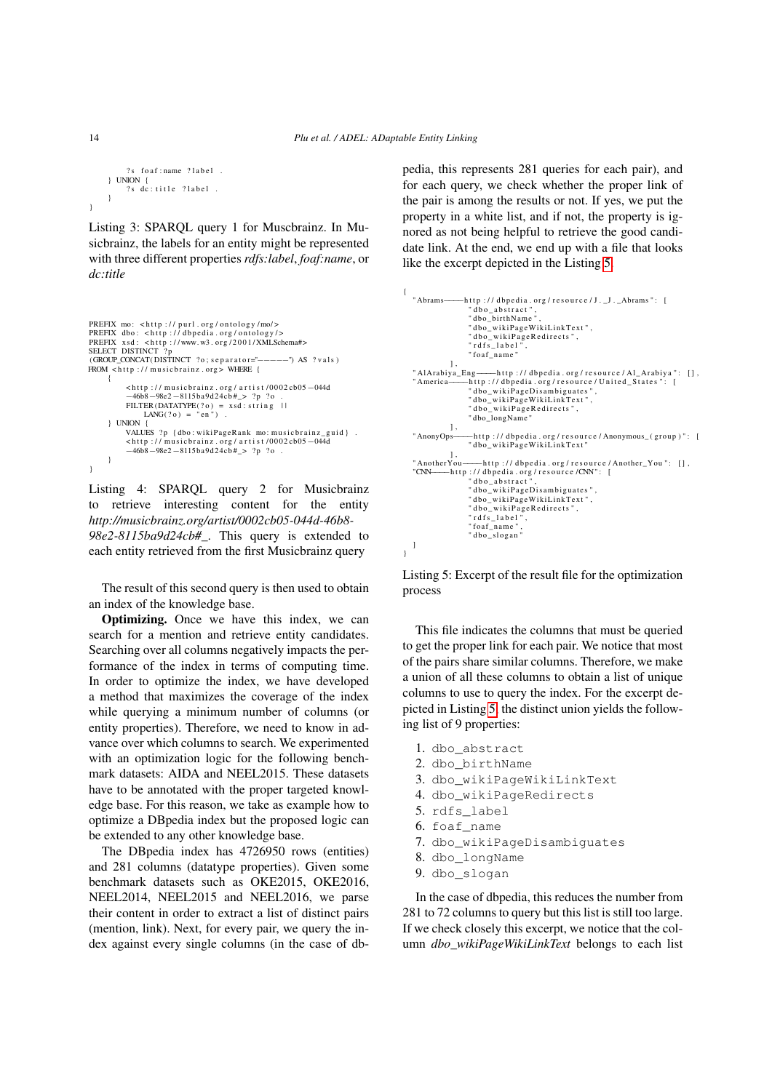```
?s foaf:name ?label.
} UNION {
    ?s dc: title ? label
}
```
Listing 3: SPARQL query 1 for Muscbrainz. In Musicbrainz, the labels for an entity might be represented with three different properties *rdfs:label*, *foaf:name*, or *dc:title*

```
PREFIX mo: \n  <http://purl.org/ontology/mo/>PREFIX dbo: <http://dbpedia.org/ontology/><br>PREFIX xsd: <http://www.w3.org/2001/XMLSchema#><br>SELECT DISTINCT ?p
(GROUP_CONCAT( DISTINCT ? o; s e p a r a t o r="−−−−−") AS ? v a l s )
FROM <http://musicbrainz.org>WHERE {
      {
            < h t t p : / / m u s i c b r a i n z . o r g / a r t i s t / 0 0 0 2 cb05−044d
              -46b8 - 98e2 - 8115b49d24cb# > ?p ?oFILTER (DATATYPE(?\circ) = xsd : string | |<br>LANG(?\circ) = "en").
      } UNION \overline{6}VALUES ?p {dbo: wikiPageRank mo: musicbrainz_guid}
            < h t t p : / / m u s i c b r a i n z . o r g / a r t i s t / 0 0 0 2 cb05−044d
              -46b8 - 98e2 - 8115ba9d24cb# > ?p ?o}
}
```
Listing 4: SPARQL query 2 for Musicbrainz to retrieve interesting content for the entity *http://musicbrainz.org/artist/0002cb05-044d-46b8- 98e2-8115ba9d24cb#\_*. This query is extended to each entity retrieved from the first Musicbrainz query

The result of this second query is then used to obtain an index of the knowledge base.

Optimizing. Once we have this index, we can search for a mention and retrieve entity candidates. Searching over all columns negatively impacts the performance of the index in terms of computing time. In order to optimize the index, we have developed a method that maximizes the coverage of the index while querying a minimum number of columns (or entity properties). Therefore, we need to know in advance over which columns to search. We experimented with an optimization logic for the following benchmark datasets: AIDA and NEEL2015. These datasets have to be annotated with the proper targeted knowledge base. For this reason, we take as example how to optimize a DBpedia index but the proposed logic can be extended to any other knowledge base.

The DBpedia index has 4726950 rows (entities) and 281 columns (datatype properties). Given some benchmark datasets such as OKE2015, OKE2016, NEEL2014, NEEL2015 and NEEL2016, we parse their content in order to extract a list of distinct pairs (mention, link). Next, for every pair, we query the index against every single columns (in the case of dbpedia, this represents 281 queries for each pair), and for each query, we check whether the proper link of the pair is among the results or not. If yes, we put the property in a white list, and if not, the property is ignored as not being helpful to retrieve the good candidate link. At the end, we end up with a file that looks like the excerpt depicted in the Listing [5.](#page-13-1)

```
{
  " Abrams−−−−h t t p : / / d b p e di a . o r g / r e s o u r c e / J . _ J . _Abrams " : [
" d b o _ a b s t r a c t " ,
                   "dbo_birthName
                    dbo_wikiPageWikiLinkText",
                   " dbo_wikiPageRedirects'
                   " r df s_l =label"" foaf name
  ],<br>| AlArabiya_Eng------http :// dbpedia . org/resource/Al_Arabiya ":   [] ,
  " America -------http :// dbpedia . org/resource/United_States": [
                   " dbo wiki Page Disambiguates "
                   " dbo_wikiPageWikiLinkText",
                   " d b o_w i k i P a g e R e d i r e c t s "
                  " dbo_longName "
  ],<br>'' AnonyOps--
                    http://dbpedia.org/resource/Anonymous_(group)": [
                   " dbo_wikiPageWikiLinkText
  " Another You-
  " AnotherYou------http :// dbpedia . org/resource/Another_You ": [],<br>"CNN-----http :// dbpedia . org/resource/CNN" : [
            −http :// dbpedia . org/resource/CNN": [
                   " dho a b stract
                   " dbo_wikiPageDisambiguates"
                   " dbo_wikiPageWikiLinkText",
                   " dbo_wikipage Redirectsrdfs label
                   " foaf_name
                   " dbo_slogan
  ]
}
```
Listing 5: Excerpt of the result file for the optimization process

This file indicates the columns that must be queried to get the proper link for each pair. We notice that most of the pairs share similar columns. Therefore, we make a union of all these columns to obtain a list of unique columns to use to query the index. For the excerpt depicted in Listing [5,](#page-13-1) the distinct union yields the following list of 9 properties:

- 1. dbo\_abstract
- 2. dbo\_birthName
- 3. dbo\_wikiPageWikiLinkText
- 4. dbo\_wikiPageRedirects
- 5. rdfs\_label
- 6. foaf\_name
- 7. dbo\_wikiPageDisambiguates
- 8. dbo\_longName
- 9. dbo\_slogan

In the case of dbpedia, this reduces the number from 281 to 72 columns to query but this list is still too large. If we check closely this excerpt, we notice that the column *dbo\_wikiPageWikiLinkText* belongs to each list

}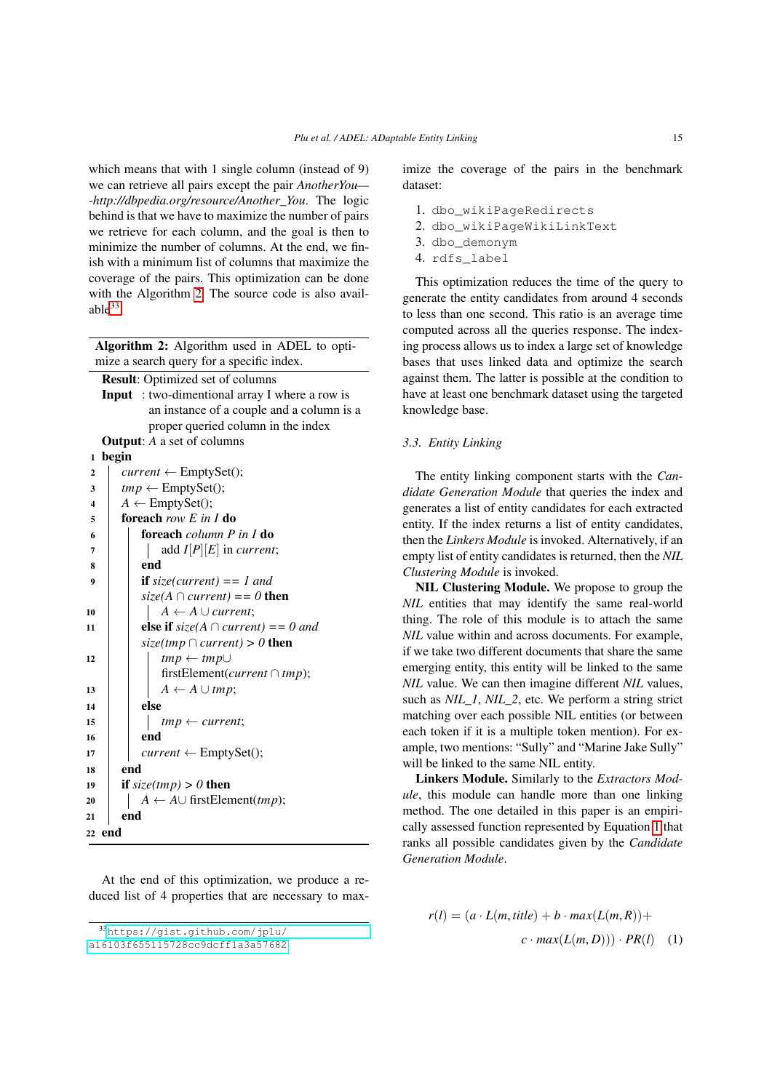which means that with 1 single column (instead of 9) we can retrieve all pairs except the pair *AnotherYou— -http://dbpedia.org/resource/Another\_You*. The logic behind is that we have to maximize the number of pairs we retrieve for each column, and the goal is then to minimize the number of columns. At the end, we finish with a minimum list of columns that maximize the coverage of the pairs. This optimization can be done with the Algorithm [2.](#page-14-1) The source code is also available $33$ .

| Algorithm 2: Algorithm used in ADEL to opti-<br>mize a search query for a specific index. |  |
|-------------------------------------------------------------------------------------------|--|
|                                                                                           |  |
| Result: Optimized set of columns                                                          |  |
| <b>Input</b> : two-dimentional array I where a row is                                     |  |
| an instance of a couple and a column is a                                                 |  |
| proper queried column in the index                                                        |  |
| <b>Output:</b> A a set of columns                                                         |  |
| begin<br>1                                                                                |  |
| $current \leftarrow EmptySet();$<br>$\boldsymbol{2}$                                      |  |
| $tmp \leftarrow EmptySet();$<br>3                                                         |  |
| $A \leftarrow \text{EmptySet}();$<br>4                                                    |  |
| foreach row E in I do<br>5                                                                |  |
| foreach column P in I do<br>6                                                             |  |
| add $I[P][E]$ in <i>current</i> ;<br>7                                                    |  |
| end<br>8                                                                                  |  |
| <b>if</b> size(current) == 1 and<br>9                                                     |  |
| $size(A \cap current) == 0$ then                                                          |  |
| $A \leftarrow A \cup current;$<br>10                                                      |  |
| else if $size(A \cap current) == 0$ and<br>11                                             |  |
| $size(tmp \cap current) > 0$ then                                                         |  |
| $tmp \leftarrow tmp \cup$<br>12                                                           |  |
| firstElement( <i>current</i> $\cap$ <i>tmp</i> );                                         |  |
| $A \leftarrow A \cup tmp;$<br>13                                                          |  |
| else<br>14                                                                                |  |
| $tmp \leftarrow current;$<br>15                                                           |  |
| end<br>16                                                                                 |  |
| $current \leftarrow EmptySet();$<br>17                                                    |  |
| end<br>18                                                                                 |  |
| <b>if</b> size(tmp) > 0 <b>then</b><br>19                                                 |  |
| $A \leftarrow A \cup firstElement(tmp);$<br>20                                            |  |
| end<br>21                                                                                 |  |
| 22 end                                                                                    |  |
|                                                                                           |  |

<span id="page-14-1"></span>At the end of this optimization, we produce a reduced list of 4 properties that are necessary to maximize the coverage of the pairs in the benchmark dataset:

- 1. dbo\_wikiPageRedirects
- 2. dbo\_wikiPageWikiLinkText
- 3. dbo\_demonym
- 4. rdfs label

This optimization reduces the time of the query to generate the entity candidates from around 4 seconds to less than one second. This ratio is an average time computed across all the queries response. The indexing process allows us to index a large set of knowledge bases that uses linked data and optimize the search against them. The latter is possible at the condition to have at least one benchmark dataset using the targeted knowledge base.

#### <span id="page-14-0"></span>*3.3. Entity Linking*

The entity linking component starts with the *Candidate Generation Module* that queries the index and generates a list of entity candidates for each extracted entity. If the index returns a list of entity candidates, then the *Linkers Module* is invoked. Alternatively, if an empty list of entity candidates is returned, then the *NIL Clustering Module* is invoked.

NIL Clustering Module. We propose to group the *NIL* entities that may identify the same real-world thing. The role of this module is to attach the same *NIL* value within and across documents. For example, if we take two different documents that share the same emerging entity, this entity will be linked to the same *NIL* value. We can then imagine different *NIL* values, such as *NIL\_1*, *NIL\_2*, etc. We perform a string strict matching over each possible NIL entities (or between each token if it is a multiple token mention). For example, two mentions: "Sully" and "Marine Jake Sully" will be linked to the same NIL entity.

Linkers Module. Similarly to the *Extractors Module*, this module can handle more than one linking method. The one detailed in this paper is an empirically assessed function represented by Equation [1](#page-14-3) that ranks all possible candidates given by the *Candidate Generation Module*.

<span id="page-14-3"></span>
$$
r(l) = (a \cdot L(m, title) + b \cdot max(L(m, R)) + c \cdot max(L(m, D))) \cdot PR(l)
$$
 (1)

<span id="page-14-2"></span><sup>33</sup>[https://gist.github.com/jplu/](https://gist.github.com/jplu/a16103f655115728cc9dcff1a3a57682) [a16103f655115728cc9dcff1a3a57682](https://gist.github.com/jplu/a16103f655115728cc9dcff1a3a57682)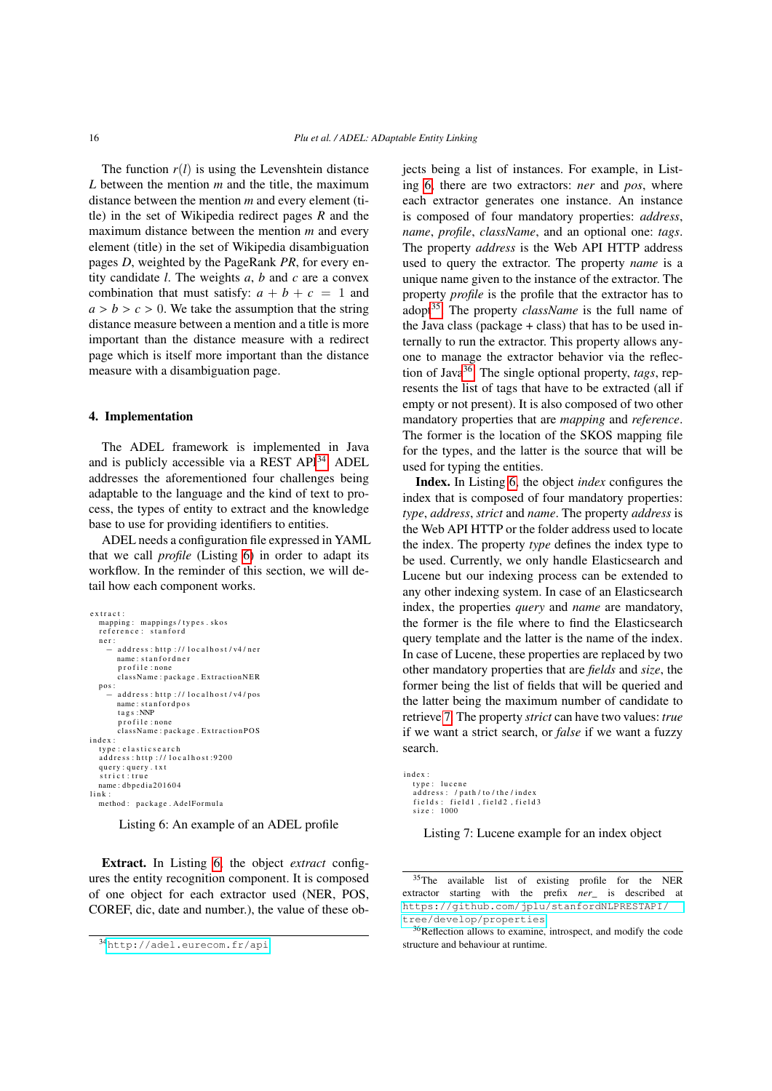The function  $r(l)$  is using the Levenshtein distance *L* between the mention *m* and the title, the maximum distance between the mention *m* and every element (title) in the set of Wikipedia redirect pages *R* and the maximum distance between the mention *m* and every element (title) in the set of Wikipedia disambiguation pages *D*, weighted by the PageRank *PR*, for every entity candidate *l*. The weights *a*, *b* and *c* are a convex combination that must satisfy:  $a + b + c = 1$  and  $a > b > c > 0$ . We take the assumption that the string distance measure between a mention and a title is more important than the distance measure with a redirect page which is itself more important than the distance measure with a disambiguation page.

#### <span id="page-15-0"></span>4. Implementation

The ADEL framework is implemented in Java and is publicly accessible via a REST API<sup>[34](#page-15-1)</sup>. ADEL addresses the aforementioned four challenges being adaptable to the language and the kind of text to process, the types of entity to extract and the knowledge base to use for providing identifiers to entities.

ADEL needs a configuration file expressed in YAML that we call *profile* (Listing [6\)](#page-15-2) in order to adapt its workflow. In the reminder of this section, we will detail how each component works.

```
ext{ract}mapping: mappings/types.skos
  reference: stanford
  n e r :
        .<br>− address · http ·// localhost / v4 / ner
        name: stanfordner
         profile : none<br>className : package . ExtractionNER
  pos:
       − a d d r e s s : h t t p : / / l o c a l h o s t / v4 / p o s
        name: stanfordpos
         \tt tag s : \text{NNP}profile : none<br>className : package . ExtractionPOS
index :
  type : elasticsearch
   address : http :// localhost :9200<br>query : query . txt
   \overline{\text{strict: true}}name: d b p e di a 201604
lim<sub>k</sub>method : package. AdelFormula
```
Listing 6: An example of an ADEL profile

Extract. In Listing [6,](#page-15-2) the object *extract* configures the entity recognition component. It is composed of one object for each extractor used (NER, POS, COREF, dic, date and number.), the value of these objects being a list of instances. For example, in Listing [6,](#page-15-2) there are two extractors: *ner* and *pos*, where each extractor generates one instance. An instance is composed of four mandatory properties: *address*, *name*, *profile*, *className*, and an optional one: *tags*. The property *address* is the Web API HTTP address used to query the extractor. The property *name* is a unique name given to the instance of the extractor. The property *profile* is the profile that the extractor has to adopt<sup>[35](#page-15-3)</sup>. The property *className* is the full name of the Java class (package + class) that has to be used internally to run the extractor. This property allows anyone to manage the extractor behavior via the reflection of Java[36](#page-15-4). The single optional property, *tags*, represents the list of tags that have to be extracted (all if empty or not present). It is also composed of two other mandatory properties that are *mapping* and *reference*. The former is the location of the SKOS mapping file for the types, and the latter is the source that will be used for typing the entities.

Index. In Listing [6,](#page-15-2) the object *index* configures the index that is composed of four mandatory properties: *type*, *address*, *strict* and *name*. The property *address* is the Web API HTTP or the folder address used to locate the index. The property *type* defines the index type to be used. Currently, we only handle Elasticsearch and Lucene but our indexing process can be extended to any other indexing system. In case of an Elasticsearch index, the properties *query* and *name* are mandatory, the former is the file where to find the Elasticsearch query template and the latter is the name of the index. In case of Lucene, these properties are replaced by two other mandatory properties that are *fields* and *size*, the former being the list of fields that will be queried and the latter being the maximum number of candidate to retrieve [7.](#page-15-5) The property *strict* can have two values: *true* if we want a strict search, or *false* if we want a fuzzy search.

```
index:tvpe: lucene
   address: /path/to/the/index<br>fields: field1,field2,field3
   size: 1000
```
Listing 7: Lucene example for an index object

<span id="page-15-1"></span><sup>34</sup><http://adel.eurecom.fr/api>

<span id="page-15-3"></span><sup>35</sup>The available list of existing profile for the NER extractor starting with the prefix *ner\_* is described at [https://github.com/jplu/stanfordNLPRESTAPI/](https://github.com/jplu/stanfordNLPRESTAPI/tree/develop/properties) [tree/develop/properties](https://github.com/jplu/stanfordNLPRESTAPI/tree/develop/properties)

<span id="page-15-4"></span><sup>36</sup>Reflection allows to examine, introspect, and modify the code structure and behaviour at runtime.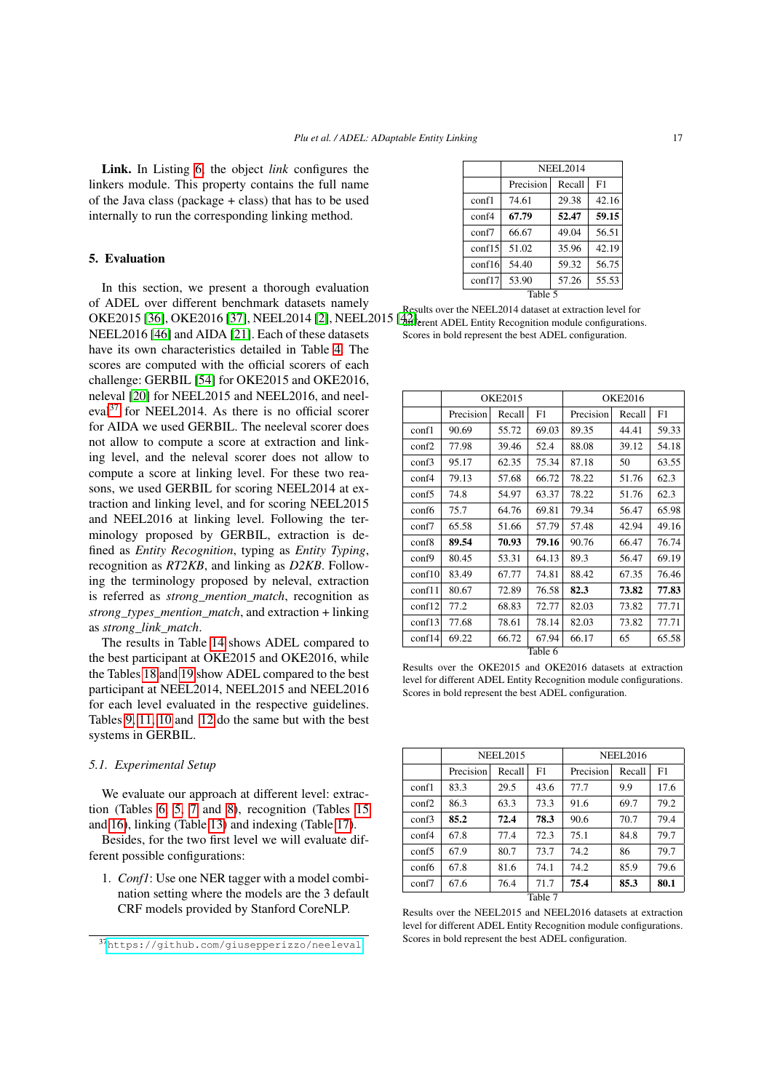Link. In Listing [6,](#page-15-2) the object *link* configures the linkers module. This property contains the full name of the Java class (package + class) that has to be used internally to run the corresponding linking method.

## <span id="page-16-0"></span>5. Evaluation

In this section, we present a thorough evaluation of ADEL over different benchmark datasets namely

OKE2015 [\[36\]](#page-23-20), OKE2016 [\[37\]](#page-23-21), NEEL2014 [\[2\]](#page-22-16), NEEL2015 [\[42\]](#page-23-22), NEEL2016 [\[46\]](#page-23-6) and AIDA [\[21\]](#page-22-9). Each of these datasets have its own characteristics detailed in Table [4.](#page-17-0) The scores are computed with the official scorers of each challenge: GERBIL [\[54\]](#page-23-23) for OKE2015 and OKE2016, neleval [\[20\]](#page-22-17) for NEEL2015 and NEEL2016, and neeleval[37](#page-16-1) for NEEL2014. As there is no official scorer for AIDA we used GERBIL. The neeleval scorer does not allow to compute a score at extraction and linking level, and the neleval scorer does not allow to compute a score at linking level. For these two reasons, we used GERBIL for scoring NEEL2014 at extraction and linking level, and for scoring NEEL2015 and NEEL2016 at linking level. Following the terminology proposed by GERBIL, extraction is defined as *Entity Recognition*, typing as *Entity Typing*, recognition as *RT2KB*, and linking as *D2KB*. Following the terminology proposed by neleval, extraction is referred as *strong\_mention\_match*, recognition as *strong\_types\_mention\_match*, and extraction + linking as *strong\_link\_match*.

The results in Table [14](#page-18-0) shows ADEL compared to the best participant at OKE2015 and OKE2016, while the Tables [18](#page-20-0) and [19](#page-20-1) show ADEL compared to the best participant at NEEL2014, NEEL2015 and NEEL2016 for each level evaluated in the respective guidelines. Tables [9,](#page-17-1) [11,](#page-17-2) [10](#page-17-3) and [12](#page-18-1) do the same but with the best systems in GERBIL.

#### *5.1. Experimental Setup*

We evaluate our approach at different level: extraction (Tables [6,](#page-16-2) [5,](#page-16-3) [7](#page-16-4) and [8\)](#page-17-4), recognition (Tables [15](#page-19-0) and [16\)](#page-19-1), linking (Table [13\)](#page-18-2) and indexing (Table [17\)](#page-20-2).

Besides, for the two first level we will evaluate different possible configurations:

1. *Conf1*: Use one NER tagger with a model combination setting where the models are the 3 default CRF models provided by Stanford CoreNLP.

<span id="page-16-3"></span>

|                 |                           | <b>NEEL2014</b> |       |  |  |  |  |  |
|-----------------|---------------------------|-----------------|-------|--|--|--|--|--|
|                 | Precision<br>F1<br>Recall |                 |       |  |  |  |  |  |
| conf1           | 74.61                     | 29.38           | 42.16 |  |  |  |  |  |
| conf4           | 67.79                     | 52.47           | 59.15 |  |  |  |  |  |
| conf7           | 66.67                     | 49.04           | 56.51 |  |  |  |  |  |
| $\text{conf15}$ | 51.02                     | 35.96           | 42.19 |  |  |  |  |  |
| $\text{conf16}$ | 54.40                     | 59.32           | 56.75 |  |  |  |  |  |
| $\text{conf17}$ | 53.90                     | 57.26           | 55.53 |  |  |  |  |  |
|                 | Table 5                   |                 |       |  |  |  |  |  |

Results over the NEEL2014 dataset at extraction level for different ADEL Entity Recognition module configurations. Scores in bold represent the best ADEL configuration.

<span id="page-16-2"></span>

|                   |           | <b>OKE2015</b> |         |           | <b>OKE2016</b> |       |
|-------------------|-----------|----------------|---------|-----------|----------------|-------|
|                   | Precision | Recall         | F1      | Precision | Recall         | F1    |
| $\text{conf1}$    | 90.69     | 55.72          | 69.03   | 89.35     | 44.41          | 59.33 |
| $\text{conf2}$    | 77.98     | 39.46          | 52.4    | 88.08     | 39.12          | 54.18 |
| $\text{conf3}$    | 95.17     | 62.35          | 75.34   | 87.18     | 50             | 63.55 |
| $\mathrm{conf}4$  | 79.13     | 57.68          | 66.72   | 78.22     | 51.76          | 62.3  |
| conf <sub>5</sub> | 74.8      | 54.97          | 63.37   | 78.22     | 51.76          | 62.3  |
| conf <sub>6</sub> | 75.7      | 64.76          | 69.81   | 79.34     | 56.47          | 65.98 |
| conf7             | 65.58     | 51.66          | 57.79   | 57.48     | 42.94          | 49.16 |
| conf <sub>8</sub> | 89.54     | 70.93          | 79.16   | 90.76     | 66.47          | 76.74 |
| conf9             | 80.45     | 53.31          | 64.13   | 89.3      | 56.47          | 69.19 |
| $\text{conf10}$   | 83.49     | 67.77          | 74.81   | 88.42     | 67.35          | 76.46 |
| $\text{conf11}$   | 80.67     | 72.89          | 76.58   | 82.3      | 73.82          | 77.83 |
| $\text{conf12}$   | 77.2      | 68.83          | 72.77   | 82.03     | 73.82          | 77.71 |
| $\text{conf13}$   | 77.68     | 78.61          | 78.14   | 82.03     | 73.82          | 77.71 |
| $\text{conf14}$   | 69.22     | 66.72          | 67.94   | 66.17     | 65             | 65.58 |
|                   |           |                | Table 6 |           |                |       |

Results over the OKE2015 and OKE2016 datasets at extraction level for different ADEL Entity Recognition module configurations. Scores in bold represent the best ADEL configuration.

<span id="page-16-4"></span>

|                   |           | <b>NEEL2015</b> |         |      | <b>NEEL2016</b> |      |  |
|-------------------|-----------|-----------------|---------|------|-----------------|------|--|
|                   | Precision | F1<br>Recall    |         |      | Recall          | F1   |  |
| conf1             | 83.3      | 29.5            | 43.6    | 77.7 | 9.9             | 17.6 |  |
| $\text{conf2}$    | 86.3      | 63.3            | 73.3    | 91.6 | 69.7            | 79.2 |  |
| $\text{conf3}$    | 85.2      | 72.4            | 78.3    | 90.6 | 70.7            | 79.4 |  |
| $\text{conf4}$    | 67.8      | 77.4            | 72.3    | 75.1 | 84.8            | 79.7 |  |
| conf <sub>5</sub> | 67.9      | 80.7            | 73.7    | 74.2 | 86              | 79.7 |  |
| conf6             | 67.8      | 81.6            | 74.1    | 74.2 | 85.9            | 79.6 |  |
| conf7             | 67.6      | 76.4            | 71.7    | 75.4 | 85.3            | 80.1 |  |
|                   |           |                 | Table 7 |      |                 |      |  |

Results over the NEEL2015 and NEEL2016 datasets at extraction level for different ADEL Entity Recognition module configurations. Scores in bold represent the best ADEL configuration.

<span id="page-16-1"></span><sup>37</sup><https://github.com/giusepperizzo/neeleval>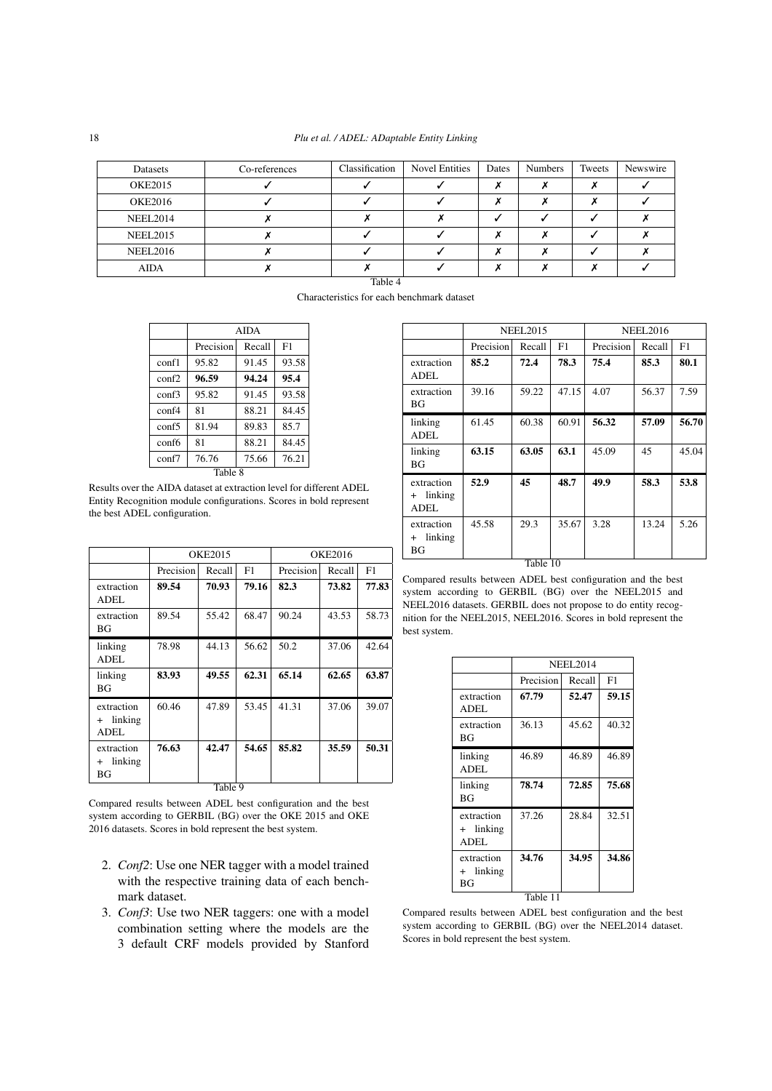18 *Plu et al. / ADEL: ADaptable Entity Linking*

<span id="page-17-0"></span>

| Datasets        | Co-references | Classification | <b>Novel Entities</b> | Dates | <b>Numbers</b> | Tweets | Newswire |
|-----------------|---------------|----------------|-----------------------|-------|----------------|--------|----------|
| <b>OKE2015</b>  |               |                |                       |       |                |        |          |
| <b>OKE2016</b>  |               |                |                       |       |                |        |          |
| NEEL2014        |               |                |                       |       |                |        |          |
| <b>NEEL2015</b> |               |                |                       |       |                |        |          |
| <b>NEEL2016</b> |               |                |                       |       |                |        |          |
| <b>AIDA</b>     |               |                |                       |       |                |        |          |
|                 |               | Table 4        |                       |       |                |        |          |

Characteristics for each benchmark dataset

<span id="page-17-4"></span>

|       |                         | <b>AIDA</b>  |       |  |  |  |  |
|-------|-------------------------|--------------|-------|--|--|--|--|
|       | Precision               | F1<br>Recall |       |  |  |  |  |
| conf1 | 95.82                   | 91.45        | 93.58 |  |  |  |  |
| conf2 | 96.59                   | 94.24        | 95.4  |  |  |  |  |
| conf3 | 95.82                   | 91.45        | 93.58 |  |  |  |  |
| conf4 | 81                      | 88.21        | 84.45 |  |  |  |  |
| conf5 | 81.94                   | 89.83        | 85.7  |  |  |  |  |
| conf6 | 81                      | 88.21        | 84.45 |  |  |  |  |
| conf7 | 76.76<br>76.21<br>75.66 |              |       |  |  |  |  |
|       | Table 8                 |              |       |  |  |  |  |

Results over the AIDA dataset at extraction level for different ADEL Entity Recognition module configurations. Scores in bold represent the best ADEL configuration.

<span id="page-17-1"></span>

|                                          |           | <b>OKE2015</b> |       |           | OKE2016 |       |
|------------------------------------------|-----------|----------------|-------|-----------|---------|-------|
|                                          | Precision | Recall         | F1    | Precision | Recall  | F1    |
| extraction<br>ADEL                       | 89.54     | 70.93          | 79.16 | 82.3      | 73.82   | 77.83 |
| extraction<br>ВG                         | 89.54     | 55.42          | 68.47 | 90.24     | 43.53   | 58.73 |
| linking<br>ADEL                          | 78.98     | 44.13          | 56.62 | 50.2      | 37.06   | 42.64 |
| linking<br>ΒG                            | 83.93     | 49.55          | 62.31 | 65.14     | 62.65   | 63.87 |
| extraction<br>linking<br>$^{+}$<br>ADEL  | 60.46     | 47.89          | 53.45 | 41.31     | 37.06   | 39.07 |
| extraction<br>linking<br>$\ddot{}$<br>ΒG | 76.63     | 42.47          | 54.65 | 85.82     | 35.59   | 50.31 |
|                                          |           | Table 9        |       |           |         |       |

Compared results between ADEL best configuration and the best system according to GERBIL (BG) over the OKE 2015 and OKE 2016 datasets. Scores in bold represent the best system.

- 2. *Conf2*: Use one NER tagger with a model trained with the respective training data of each benchmark dataset.
- 3. *Conf3*: Use two NER taggers: one with a model combination setting where the models are the 3 default CRF models provided by Stanford

<span id="page-17-3"></span>

|                                         |           | <b>NEEL2015</b> |       | <b>NEEL2016</b> |        |       |  |
|-----------------------------------------|-----------|-----------------|-------|-----------------|--------|-------|--|
|                                         | Precision | Recall          | F1    | Precision       | Recall | F1    |  |
| extraction<br>ADEL.                     | 85.2      | 72.4            | 78.3  | 75.4            | 85.3   | 80.1  |  |
| extraction<br>ВG                        | 39.16     | 59.22           | 47.15 | 4.07            | 56.37  | 7.59  |  |
| linking<br>ADEL                         | 61.45     | 60.38           | 60.91 | 56.32           | 57.09  | 56.70 |  |
| linking<br>BG                           | 63.15     | 63.05           | 63.1  | 45.09           | 45     | 45.04 |  |
| extraction<br>linking<br>$\pm$<br>ADEL. | 52.9      | 45              | 48.7  | 49.9            | 58.3   | 53.8  |  |
| extraction<br>linking<br>$\pm$<br>ΒG    | 45.58     | 29.3            | 35.67 | 3.28            | 13.24  | 5.26  |  |
|                                         |           | Table 10        |       |                 |        |       |  |

Compared results between ADEL best configuration and the best system according to GERBIL (BG) over the NEEL2015 and NEEL2016 datasets. GERBIL does not propose to do entity recognition for the NEEL2015, NEEL2016. Scores in bold represent the best system.

<span id="page-17-2"></span>

|                                    | <b>NEEL2014</b> |        |       |  |
|------------------------------------|-----------------|--------|-------|--|
|                                    | Precision       | Recall | F1    |  |
| extraction<br>ADEL                 | 67.79           | 52.47  | 59.15 |  |
| extraction<br>ВG                   | 36.13           | 45.62  | 40.32 |  |
| linking<br>ADEL                    | 46.89           | 46.89  | 46.89 |  |
| linking<br>ВG                      | 78.74           | 72.85  | 75.68 |  |
| extraction<br>+ linking<br>ADEL    | 37.26           | 28.84  | 32.51 |  |
| extraction<br>linking<br>$+$<br>ΒG | 34.76           | 34.95  | 34.86 |  |
|                                    | Table 11        |        |       |  |

Compared results between ADEL best configuration and the best system according to GERBIL (BG) over the NEEL2014 dataset. Scores in bold represent the best system.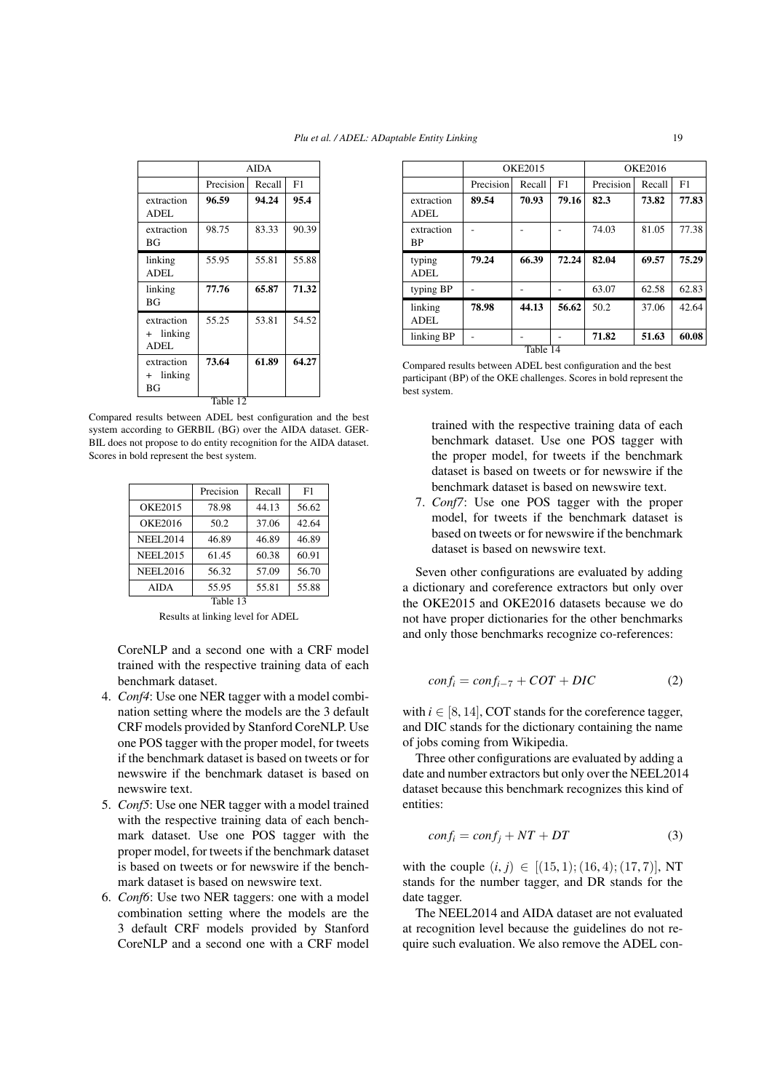<span id="page-18-1"></span>

|                                      |           | <b>AIDA</b> |       |
|--------------------------------------|-----------|-------------|-------|
|                                      | Precision | Recall      | F1    |
| extraction<br><b>ADEL</b>            | 96.59     | 94.24       | 95.4  |
| extraction<br>ВG                     | 98.75     | 83.33       | 90.39 |
| linking<br>ADEL                      | 55.95     | 55.81       | 55.88 |
| linking<br>ΒG                        | 77.76     | 65.87       | 71.32 |
| extraction<br>linking<br>$+$<br>ADEL | 55.25     | 53.81       | 54.52 |
| extraction<br>linking<br>$+$<br>ΒG   | 73.64     | 61.89       | 64.27 |
|                                      | Table 12  |             |       |

Compared results between ADEL best configuration and the best system according to GERBIL (BG) over the AIDA dataset. GER-BIL does not propose to do entity recognition for the AIDA dataset. Scores in bold represent the best system.

<span id="page-18-2"></span>

|                 | Precision | Recall | F1    |
|-----------------|-----------|--------|-------|
| OKE2015         | 78.98     | 44.13  | 56.62 |
| <b>OKE2016</b>  | 50.2      | 37.06  | 42.64 |
| <b>NEEL2014</b> | 46.89     | 46.89  | 46.89 |
| <b>NEEL2015</b> | 61.45     | 60.38  | 60.91 |
| <b>NEEL2016</b> | 56.32     | 57.09  | 56.70 |
| <b>AIDA</b>     | 55.95     | 55.81  | 55.88 |
|                 | Table 13  |        |       |

Results at linking level for ADEL

CoreNLP and a second one with a CRF model trained with the respective training data of each benchmark dataset.

- 4. *Conf4*: Use one NER tagger with a model combination setting where the models are the 3 default CRF models provided by Stanford CoreNLP. Use one POS tagger with the proper model, for tweets if the benchmark dataset is based on tweets or for newswire if the benchmark dataset is based on newswire text.
- 5. *Conf5*: Use one NER tagger with a model trained with the respective training data of each benchmark dataset. Use one POS tagger with the proper model, for tweets if the benchmark dataset is based on tweets or for newswire if the benchmark dataset is based on newswire text.
- 6. *Conf6*: Use two NER taggers: one with a model combination setting where the models are the 3 default CRF models provided by Stanford CoreNLP and a second one with a CRF model

<span id="page-18-0"></span>

|                         |           | <b>OKE2015</b> | <b>OKE2016</b> |           |        |       |
|-------------------------|-----------|----------------|----------------|-----------|--------|-------|
|                         | Precision | Recall         | F1             | Precision | Recall | F1    |
| extraction<br>ADEL      | 89.54     | 70.93          | 79.16          | 82.3      | 73.82  | 77.83 |
| extraction<br><b>BP</b> |           |                |                | 74.03     | 81.05  | 77.38 |
| typing                  | 79.24     | 66.39          | 72.24          | 82.04     | 69.57  | 75.29 |
| ADEL                    |           |                |                |           |        |       |
| typing BP               |           |                |                | 63.07     | 62.58  | 62.83 |
| linking<br>ADEL         | 78.98     | 44.13          | 56.62          | 50.2      | 37.06  | 42.64 |
| linking BP              |           |                |                | 71.82     | 51.63  | 60.08 |

Compared results between ADEL best configuration and the best participant (BP) of the OKE challenges. Scores in bold represent the best system.

trained with the respective training data of each benchmark dataset. Use one POS tagger with the proper model, for tweets if the benchmark dataset is based on tweets or for newswire if the benchmark dataset is based on newswire text.

7. *Conf7*: Use one POS tagger with the proper model, for tweets if the benchmark dataset is based on tweets or for newswire if the benchmark dataset is based on newswire text.

Seven other configurations are evaluated by adding a dictionary and coreference extractors but only over the OKE2015 and OKE2016 datasets because we do not have proper dictionaries for the other benchmarks and only those benchmarks recognize co-references:

$$
confi = confi-7 + COT + DIC
$$
 (2)

with  $i \in [8, 14]$ , COT stands for the coreference tagger, and DIC stands for the dictionary containing the name of jobs coming from Wikipedia.

Three other configurations are evaluated by adding a date and number extractors but only over the NEEL2014 dataset because this benchmark recognizes this kind of entities:

$$
conf_i = conf_j + NT + DT \tag{3}
$$

with the couple  $(i, j) \in [(15, 1); (16, 4); (17, 7)], NT$ stands for the number tagger, and DR stands for the date tagger.

The NEEL2014 and AIDA dataset are not evaluated at recognition level because the guidelines do not require such evaluation. We also remove the ADEL con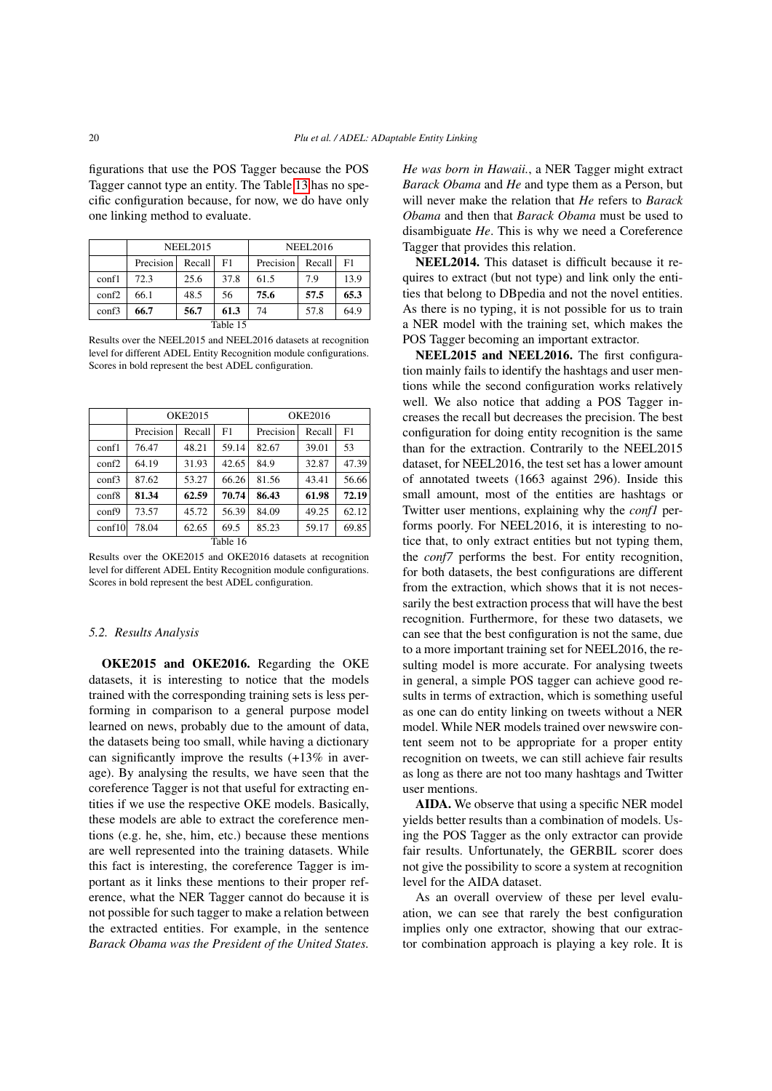figurations that use the POS Tagger because the POS Tagger cannot type an entity. The Table [13](#page-18-2) has no specific configuration because, for now, we do have only one linking method to evaluate.

<span id="page-19-0"></span>

|                | <b>NEEL2015</b> |        |      |           | <b>NEEL2016</b> |      |
|----------------|-----------------|--------|------|-----------|-----------------|------|
|                | Precision       | Recall | F1   | Precision | Recall          | F1   |
| $\text{conf1}$ | 72.3            | 25.6   | 37.8 | 61.5      | 7.9             | 13.9 |
| $\text{conf2}$ | 66.1            | 48.5   | 56   | 75.6      | 57.5            | 65.3 |
| $\text{conf3}$ | 66.7            | 56.7   | 61.3 | 74        | 57.8            | 64.9 |
| Table 15       |                 |        |      |           |                 |      |

Results over the NEEL2015 and NEEL2016 datasets at recognition level for different ADEL Entity Recognition module configurations. Scores in bold represent the best ADEL configuration.

<span id="page-19-1"></span>

|                   |           | <b>OKE2015</b> |          |           | OKE2016 |       |  |
|-------------------|-----------|----------------|----------|-----------|---------|-------|--|
|                   | Precision | Recall         | F1       | Precision | Recall  | F1    |  |
| conf1             | 76.47     | 48.21          | 59.14    | 82.67     | 39.01   | 53    |  |
| $\text{conf2}$    | 64.19     | 31.93          | 42.65    | 84.9      | 32.87   | 47.39 |  |
| $\text{conf3}$    | 87.62     | 53.27          | 66.26    | 81.56     | 43.41   | 56.66 |  |
| conf <sub>8</sub> | 81.34     | 62.59          | 70.74    | 86.43     | 61.98   | 72.19 |  |
| $\text{conf9}$    | 73.57     | 45.72          | 56.39    | 84.09     | 49.25   | 62.12 |  |
| $\text{conf10}$   | 78.04     | 62.65          | 69.5     | 85.23     | 59.17   | 69.85 |  |
|                   |           |                | Table 16 |           |         |       |  |

Results over the OKE2015 and OKE2016 datasets at recognition level for different ADEL Entity Recognition module configurations. Scores in bold represent the best ADEL configuration.

## *5.2. Results Analysis*

OKE2015 and OKE2016. Regarding the OKE datasets, it is interesting to notice that the models trained with the corresponding training sets is less performing in comparison to a general purpose model learned on news, probably due to the amount of data, the datasets being too small, while having a dictionary can significantly improve the results (+13% in average). By analysing the results, we have seen that the coreference Tagger is not that useful for extracting entities if we use the respective OKE models. Basically, these models are able to extract the coreference mentions (e.g. he, she, him, etc.) because these mentions are well represented into the training datasets. While this fact is interesting, the coreference Tagger is important as it links these mentions to their proper reference, what the NER Tagger cannot do because it is not possible for such tagger to make a relation between the extracted entities. For example, in the sentence *Barack Obama was the President of the United States.* *He was born in Hawaii.*, a NER Tagger might extract *Barack Obama* and *He* and type them as a Person, but will never make the relation that *He* refers to *Barack Obama* and then that *Barack Obama* must be used to disambiguate *He*. This is why we need a Coreference Tagger that provides this relation.

NEEL2014. This dataset is difficult because it requires to extract (but not type) and link only the entities that belong to DBpedia and not the novel entities. As there is no typing, it is not possible for us to train a NER model with the training set, which makes the POS Tagger becoming an important extractor.

NEEL2015 and NEEL2016. The first configuration mainly fails to identify the hashtags and user mentions while the second configuration works relatively well. We also notice that adding a POS Tagger increases the recall but decreases the precision. The best configuration for doing entity recognition is the same than for the extraction. Contrarily to the NEEL2015 dataset, for NEEL2016, the test set has a lower amount of annotated tweets (1663 against 296). Inside this small amount, most of the entities are hashtags or Twitter user mentions, explaining why the *conf1* performs poorly. For NEEL2016, it is interesting to notice that, to only extract entities but not typing them, the *conf7* performs the best. For entity recognition, for both datasets, the best configurations are different from the extraction, which shows that it is not necessarily the best extraction process that will have the best recognition. Furthermore, for these two datasets, we can see that the best configuration is not the same, due to a more important training set for NEEL2016, the resulting model is more accurate. For analysing tweets in general, a simple POS tagger can achieve good results in terms of extraction, which is something useful as one can do entity linking on tweets without a NER model. While NER models trained over newswire content seem not to be appropriate for a proper entity recognition on tweets, we can still achieve fair results as long as there are not too many hashtags and Twitter user mentions.

AIDA. We observe that using a specific NER model yields better results than a combination of models. Using the POS Tagger as the only extractor can provide fair results. Unfortunately, the GERBIL scorer does not give the possibility to score a system at recognition level for the AIDA dataset.

As an overall overview of these per level evaluation, we can see that rarely the best configuration implies only one extractor, showing that our extractor combination approach is playing a key role. It is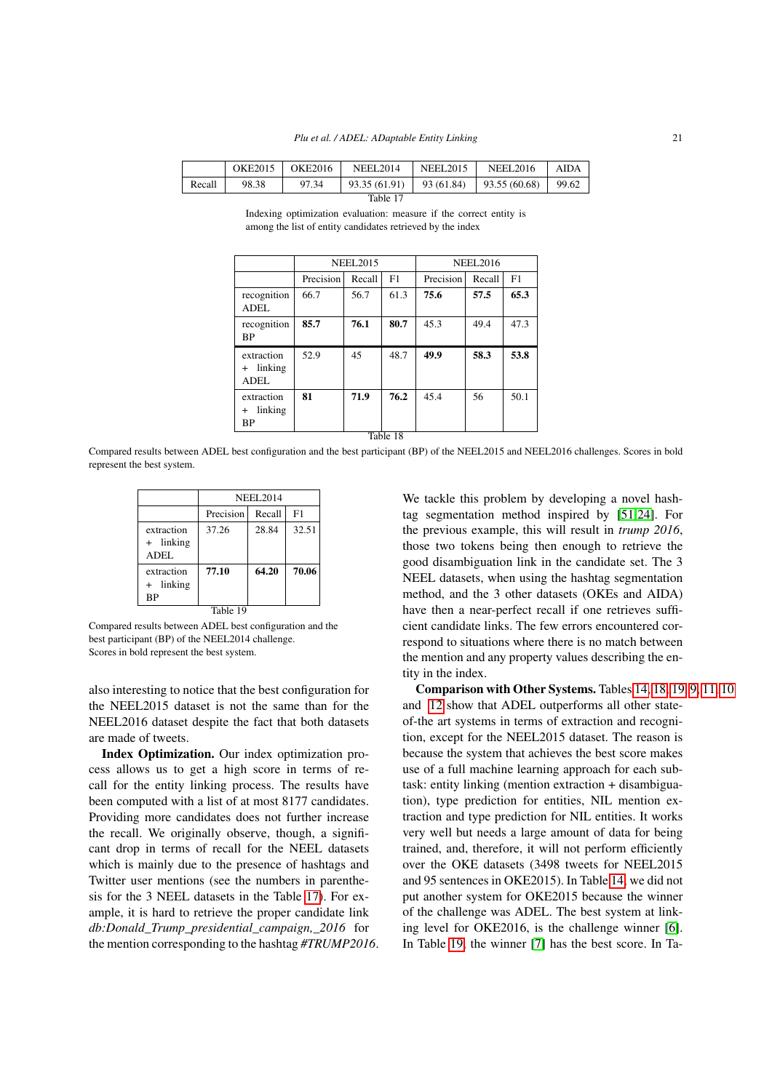<span id="page-20-2"></span><span id="page-20-0"></span>

|        | OKE2015 | OKE2016 | <b>NEEL2014</b>                                   | <b>NEEL2015</b> | <b>NEEL2016</b> | <b>AIDA</b> |
|--------|---------|---------|---------------------------------------------------|-----------------|-----------------|-------------|
| Recall | 98.38   | 97.34   | $93.35(61.91)$   93(61.84)   93.55(60.68)   99.62 |                 |                 |             |
|        |         |         | Table 17                                          |                 |                 |             |

| Indexing optimization evaluation: measure if the correct entity is |  |  |  |
|--------------------------------------------------------------------|--|--|--|
| among the list of entity candidates retrieved by the index         |  |  |  |

| <b>NEEL2015</b> |        |      | <b>NEEL2016</b> |        |      |
|-----------------|--------|------|-----------------|--------|------|
| Precision       | Recall | F1   | Precision       | Recall | F1   |
| 66.7            | 56.7   | 61.3 | 75.6            | 57.5   | 65.3 |
| 85.7            | 76.1   | 80.7 | 45.3            | 49.4   | 47.3 |
| 52.9            | 45     | 48.7 | 49.9            | 58.3   | 53.8 |
| 81              | 71.9   | 76.2 | 45.4            | 56     | 50.1 |
|                 |        |      |                 |        |      |

<span id="page-20-1"></span>Compared results between ADEL best configuration and the best participant (BP) of the NEEL2015 and NEEL2016 challenges. Scores in bold represent the best system.

|                                 | <b>NEEL2014</b> |        |       |  |  |  |
|---------------------------------|-----------------|--------|-------|--|--|--|
|                                 | Precision       | Recall | F1    |  |  |  |
| extraction<br>+ linking<br>ADEL | 37.26           | 28.84  | 32.51 |  |  |  |
| extraction<br>+ linking<br>ВP   | 77.10           | 64.20  | 70.06 |  |  |  |
|                                 | Table 19        |        |       |  |  |  |

Compared results between ADEL best configuration and the best participant (BP) of the NEEL2014 challenge. Scores in bold represent the best system.

also interesting to notice that the best configuration for the NEEL2015 dataset is not the same than for the NEEL2016 dataset despite the fact that both datasets are made of tweets.

Index Optimization. Our index optimization process allows us to get a high score in terms of recall for the entity linking process. The results have been computed with a list of at most 8177 candidates. Providing more candidates does not further increase the recall. We originally observe, though, a significant drop in terms of recall for the NEEL datasets which is mainly due to the presence of hashtags and Twitter user mentions (see the numbers in parenthesis for the 3 NEEL datasets in the Table [17\)](#page-20-2). For example, it is hard to retrieve the proper candidate link *db:Donald\_Trump\_presidential\_campaign,\_2016* for the mention corresponding to the hashtag *#TRUMP2016*. We tackle this problem by developing a novel hashtag segmentation method inspired by [\[51,](#page-23-24)[24\]](#page-22-18). For the previous example, this will result in *trump 2016*, those two tokens being then enough to retrieve the good disambiguation link in the candidate set. The 3 NEEL datasets, when using the hashtag segmentation method, and the 3 other datasets (OKEs and AIDA) have then a near-perfect recall if one retrieves sufficient candidate links. The few errors encountered correspond to situations where there is no match between the mention and any property values describing the entity in the index.

Comparison with Other Systems. Tables [14,](#page-18-0) [18,](#page-20-0) [19,](#page-20-1) [9,](#page-17-1) [11,](#page-17-2) [10](#page-17-3) and [12](#page-18-1) show that ADEL outperforms all other stateof-the art systems in terms of extraction and recognition, except for the NEEL2015 dataset. The reason is because the system that achieves the best score makes use of a full machine learning approach for each subtask: entity linking (mention extraction + disambiguation), type prediction for entities, NIL mention extraction and type prediction for NIL entities. It works very well but needs a large amount of data for being trained, and, therefore, it will not perform efficiently over the OKE datasets (3498 tweets for NEEL2015 and 95 sentences in OKE2015). In Table [14,](#page-18-0) we did not put another system for OKE2015 because the winner of the challenge was ADEL. The best system at linking level for OKE2016, is the challenge winner [\[6\]](#page-22-19). In Table [19,](#page-20-1) the winner [\[7\]](#page-22-11) has the best score. In Ta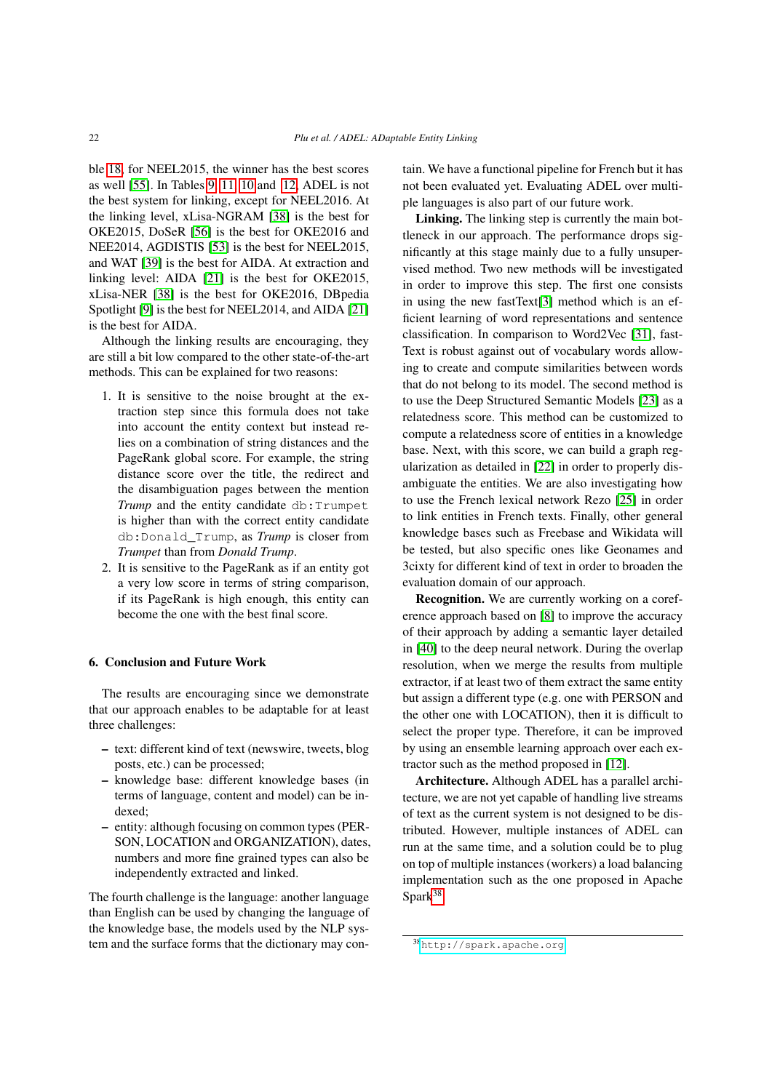ble [18,](#page-20-0) for NEEL2015, the winner has the best scores as well [\[55\]](#page-24-0). In Tables [9,](#page-17-1) [11,](#page-17-2) [10](#page-17-3) and [12,](#page-18-1) ADEL is not the best system for linking, except for NEEL2016. At the linking level, xLisa-NGRAM [\[38\]](#page-23-25) is the best for OKE2015, DoSeR [\[56\]](#page-24-1) is the best for OKE2016 and NEE2014, AGDISTIS [\[53\]](#page-23-13) is the best for NEEL2015, and WAT [\[39\]](#page-23-7) is the best for AIDA. At extraction and linking level: AIDA [\[21\]](#page-22-9) is the best for OKE2015, xLisa-NER [\[38\]](#page-23-25) is the best for OKE2016, DBpedia Spotlight [\[9\]](#page-22-12) is the best for NEEL2014, and AIDA [\[21\]](#page-22-9) is the best for AIDA.

Although the linking results are encouraging, they are still a bit low compared to the other state-of-the-art methods. This can be explained for two reasons:

- 1. It is sensitive to the noise brought at the extraction step since this formula does not take into account the entity context but instead relies on a combination of string distances and the PageRank global score. For example, the string distance score over the title, the redirect and the disambiguation pages between the mention *Trump* and the entity candidate db: Trumpet is higher than with the correct entity candidate db:Donald\_Trump, as *Trump* is closer from *Trumpet* than from *Donald Trump*.
- 2. It is sensitive to the PageRank as if an entity got a very low score in terms of string comparison, if its PageRank is high enough, this entity can become the one with the best final score.

## <span id="page-21-0"></span>6. Conclusion and Future Work

The results are encouraging since we demonstrate that our approach enables to be adaptable for at least three challenges:

- text: different kind of text (newswire, tweets, blog posts, etc.) can be processed;
- knowledge base: different knowledge bases (in terms of language, content and model) can be indexed;
- entity: although focusing on common types (PER-SON, LOCATION and ORGANIZATION), dates, numbers and more fine grained types can also be independently extracted and linked.

The fourth challenge is the language: another language than English can be used by changing the language of the knowledge base, the models used by the NLP system and the surface forms that the dictionary may contain. We have a functional pipeline for French but it has not been evaluated yet. Evaluating ADEL over multiple languages is also part of our future work.

Linking. The linking step is currently the main bottleneck in our approach. The performance drops significantly at this stage mainly due to a fully unsupervised method. Two new methods will be investigated in order to improve this step. The first one consists in using the new fastText[\[3\]](#page-22-20) method which is an efficient learning of word representations and sentence classification. In comparison to Word2Vec [\[31\]](#page-23-26), fast-Text is robust against out of vocabulary words allowing to create and compute similarities between words that do not belong to its model. The second method is to use the Deep Structured Semantic Models [\[23\]](#page-22-21) as a relatedness score. This method can be customized to compute a relatedness score of entities in a knowledge base. Next, with this score, we can build a graph regularization as detailed in [\[22\]](#page-22-22) in order to properly disambiguate the entities. We are also investigating how to use the French lexical network Rezo [\[25\]](#page-22-23) in order to link entities in French texts. Finally, other general knowledge bases such as Freebase and Wikidata will be tested, but also specific ones like Geonames and 3cixty for different kind of text in order to broaden the evaluation domain of our approach.

Recognition. We are currently working on a coreference approach based on [\[8\]](#page-22-24) to improve the accuracy of their approach by adding a semantic layer detailed in [\[40\]](#page-23-27) to the deep neural network. During the overlap resolution, when we merge the results from multiple extractor, if at least two of them extract the same entity but assign a different type (e.g. one with PERSON and the other one with LOCATION), then it is difficult to select the proper type. Therefore, it can be improved by using an ensemble learning approach over each extractor such as the method proposed in [\[12\]](#page-22-25).

Architecture. Although ADEL has a parallel architecture, we are not yet capable of handling live streams of text as the current system is not designed to be distributed. However, multiple instances of ADEL can run at the same time, and a solution could be to plug on top of multiple instances (workers) a load balancing implementation such as the one proposed in Apache Spark<sup>[38](#page-21-1)</sup>.

<span id="page-21-1"></span><sup>38</sup><http://spark.apache.org>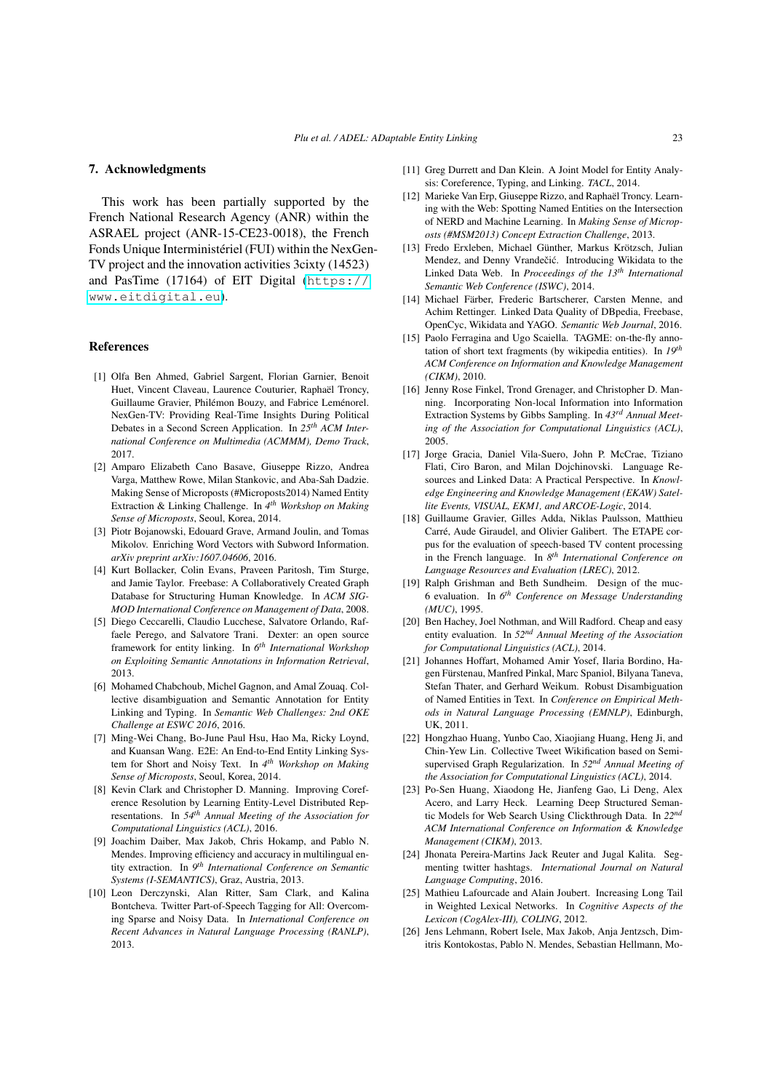#### 7. Acknowledgments

This work has been partially supported by the French National Research Agency (ANR) within the ASRAEL project (ANR-15-CE23-0018), the French Fonds Unique Interministériel (FUI) within the NexGen-TV project and the innovation activities 3cixty (14523) and PasTime (17164) of EIT Digital ([https://](https://www.eitdigital.eu) [www.eitdigital.eu](https://www.eitdigital.eu)).

### References

- <span id="page-22-0"></span>[1] Olfa Ben Ahmed, Gabriel Sargent, Florian Garnier, Benoit Huet, Vincent Claveau, Laurence Couturier, Raphaël Troncy, Guillaume Gravier, Philémon Bouzy, and Fabrice Leménorel. NexGen-TV: Providing Real-Time Insights During Political Debates in a Second Screen Application. In *25th ACM International Conference on Multimedia (ACMMM), Demo Track*, 2017.
- <span id="page-22-16"></span>[2] Amparo Elizabeth Cano Basave, Giuseppe Rizzo, Andrea Varga, Matthew Rowe, Milan Stankovic, and Aba-Sah Dadzie. Making Sense of Microposts (#Microposts2014) Named Entity Extraction & Linking Challenge. In *4 th Workshop on Making Sense of Microposts*, Seoul, Korea, 2014.
- <span id="page-22-20"></span>[3] Piotr Bojanowski, Edouard Grave, Armand Joulin, and Tomas Mikolov. Enriching Word Vectors with Subword Information. *arXiv preprint arXiv:1607.04606*, 2016.
- <span id="page-22-5"></span>[4] Kurt Bollacker, Colin Evans, Praveen Paritosh, Tim Sturge, and Jamie Taylor. Freebase: A Collaboratively Created Graph Database for Structuring Human Knowledge. In *ACM SIG-MOD International Conference on Management of Data*, 2008.
- <span id="page-22-8"></span>[5] Diego Ceccarelli, Claudio Lucchese, Salvatore Orlando, Raffaele Perego, and Salvatore Trani. Dexter: an open source framework for entity linking. In *6 th International Workshop on Exploiting Semantic Annotations in Information Retrieval*, 2013.
- <span id="page-22-19"></span>[6] Mohamed Chabchoub, Michel Gagnon, and Amal Zouaq. Collective disambiguation and Semantic Annotation for Entity Linking and Typing. In *Semantic Web Challenges: 2nd OKE Challenge at ESWC 2016*, 2016.
- <span id="page-22-11"></span>[7] Ming-Wei Chang, Bo-June Paul Hsu, Hao Ma, Ricky Loynd, and Kuansan Wang. E2E: An End-to-End Entity Linking System for Short and Noisy Text. In *4 th Workshop on Making Sense of Microposts*, Seoul, Korea, 2014.
- <span id="page-22-24"></span>[8] Kevin Clark and Christopher D. Manning. Improving Coreference Resolution by Learning Entity-Level Distributed Representations. In *54th Annual Meeting of the Association for Computational Linguistics (ACL)*, 2016.
- <span id="page-22-12"></span>[9] Joachim Daiber, Max Jakob, Chris Hokamp, and Pablo N. Mendes. Improving efficiency and accuracy in multilingual entity extraction. In *9 th International Conference on Semantic Systems (I-SEMANTICS)*, Graz, Austria, 2013.
- <span id="page-22-15"></span>[10] Leon Derczynski, Alan Ritter, Sam Clark, and Kalina Bontcheva. Twitter Part-of-Speech Tagging for All: Overcoming Sparse and Noisy Data. In *International Conference on Recent Advances in Natural Language Processing (RANLP)*, 2013.
- <span id="page-22-14"></span>[11] Greg Durrett and Dan Klein. A Joint Model for Entity Analysis: Coreference, Typing, and Linking. *TACL*, 2014.
- <span id="page-22-25"></span>[12] Marieke Van Erp, Giuseppe Rizzo, and Raphaël Troncy. Learning with the Web: Spotting Named Entities on the Intersection of NERD and Machine Learning. In *Making Sense of Microposts (#MSM2013) Concept Extraction Challenge*, 2013.
- <span id="page-22-6"></span>[13] Fredo Erxleben, Michael Günther, Markus Krötzsch, Julian Mendez, and Denny Vrandečić. Introducing Wikidata to the Linked Data Web. In *Proceedings of the 13th International Semantic Web Conference (ISWC)*, 2014.
- <span id="page-22-3"></span>[14] Michael Färber, Frederic Bartscherer, Carsten Menne, and Achim Rettinger. Linked Data Quality of DBpedia, Freebase, OpenCyc, Wikidata and YAGO. *Semantic Web Journal*, 2016.
- <span id="page-22-2"></span>[15] Paolo Ferragina and Ugo Scaiella. TAGME: on-the-fly annotation of short text fragments (by wikipedia entities). In *19th ACM Conference on Information and Knowledge Management (CIKM)*, 2010.
- <span id="page-22-10"></span>[16] Jenny Rose Finkel, Trond Grenager, and Christopher D. Manning. Incorporating Non-local Information into Information Extraction Systems by Gibbs Sampling. In *43rd Annual Meeting of the Association for Computational Linguistics (ACL)*, 2005.
- <span id="page-22-13"></span>[17] Jorge Gracia, Daniel Vila-Suero, John P. McCrae, Tiziano Flati, Ciro Baron, and Milan Dojchinovski. Language Resources and Linked Data: A Practical Perspective. In *Knowledge Engineering and Knowledge Management (EKAW) Satellite Events, VISUAL, EKM1, and ARCOE-Logic*, 2014.
- <span id="page-22-7"></span>[18] Guillaume Gravier, Gilles Adda, Niklas Paulsson, Matthieu Carré, Aude Giraudel, and Olivier Galibert. The ETAPE corpus for the evaluation of speech-based TV content processing in the French language. In *8 th International Conference on Language Resources and Evaluation (LREC)*, 2012.
- <span id="page-22-1"></span>[19] Ralph Grishman and Beth Sundheim. Design of the muc-6 evaluation. In *6 th Conference on Message Understanding (MUC)*, 1995.
- <span id="page-22-17"></span>[20] Ben Hachey, Joel Nothman, and Will Radford. Cheap and easy entity evaluation. In *52nd Annual Meeting of the Association for Computational Linguistics (ACL)*, 2014.
- <span id="page-22-9"></span>[21] Johannes Hoffart, Mohamed Amir Yosef, Ilaria Bordino, Hagen Fürstenau, Manfred Pinkal, Marc Spaniol, Bilyana Taneva, Stefan Thater, and Gerhard Weikum. Robust Disambiguation of Named Entities in Text. In *Conference on Empirical Methods in Natural Language Processing (EMNLP)*, Edinburgh, UK, 2011.
- <span id="page-22-22"></span>[22] Hongzhao Huang, Yunbo Cao, Xiaojiang Huang, Heng Ji, and Chin-Yew Lin. Collective Tweet Wikification based on Semisupervised Graph Regularization. In *52nd Annual Meeting of the Association for Computational Linguistics (ACL)*, 2014.
- <span id="page-22-21"></span>[23] Po-Sen Huang, Xiaodong He, Jianfeng Gao, Li Deng, Alex Acero, and Larry Heck. Learning Deep Structured Semantic Models for Web Search Using Clickthrough Data. In *22nd ACM International Conference on Information & Knowledge Management (CIKM)*, 2013.
- <span id="page-22-18"></span>[24] Jhonata Pereira-Martins Jack Reuter and Jugal Kalita. Segmenting twitter hashtags. *International Journal on Natural Language Computing*, 2016.
- <span id="page-22-23"></span>[25] Mathieu Lafourcade and Alain Joubert. Increasing Long Tail in Weighted Lexical Networks. In *Cognitive Aspects of the Lexicon (CogAlex-III), COLING*, 2012.
- <span id="page-22-4"></span>[26] Jens Lehmann, Robert Isele, Max Jakob, Anja Jentzsch, Dimitris Kontokostas, Pablo N. Mendes, Sebastian Hellmann, Mo-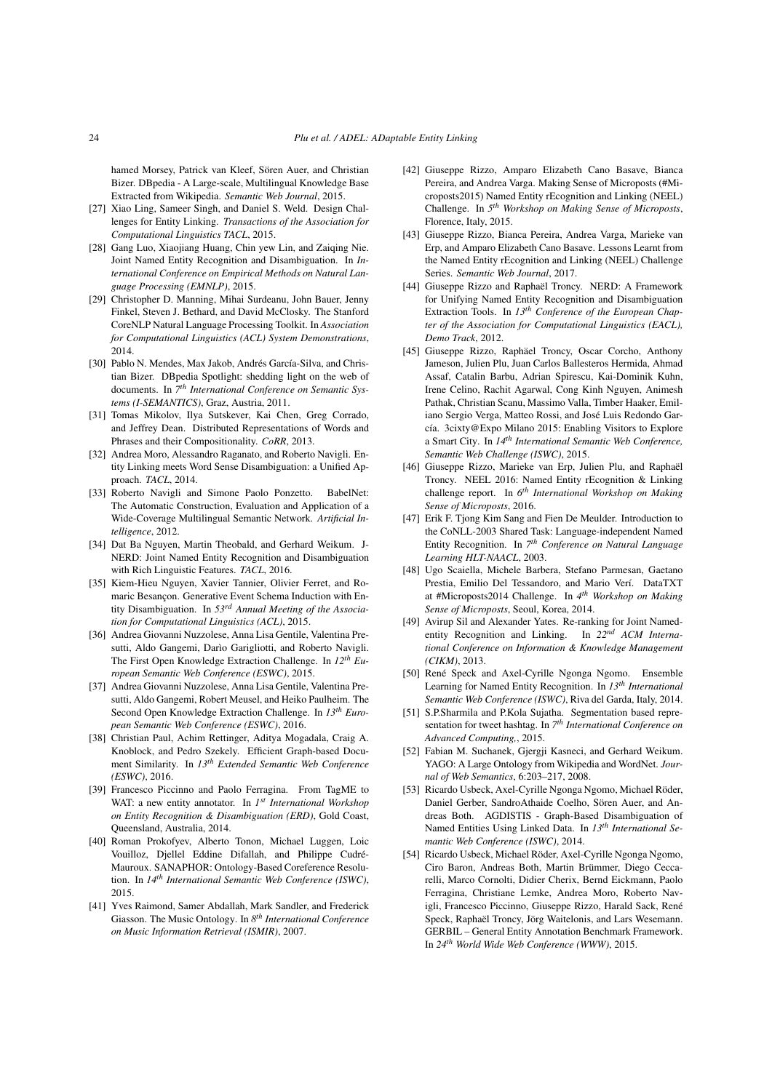hamed Morsey, Patrick van Kleef, Sören Auer, and Christian Bizer. DBpedia - A Large-scale, Multilingual Knowledge Base Extracted from Wikipedia. *Semantic Web Journal*, 2015.

- <span id="page-23-11"></span>[27] Xiao Ling, Sameer Singh, and Daniel S. Weld. Design Challenges for Entity Linking. *Transactions of the Association for Computational Linguistics TACL*, 2015.
- <span id="page-23-16"></span>[28] Gang Luo, Xiaojiang Huang, Chin yew Lin, and Zaiqing Nie. Joint Named Entity Recognition and Disambiguation. In *International Conference on Empirical Methods on Natural Language Processing (EMNLP)*, 2015.
- <span id="page-23-14"></span>[29] Christopher D. Manning, Mihai Surdeanu, John Bauer, Jenny Finkel, Steven J. Bethard, and David McClosky. The Stanford CoreNLP Natural Language Processing Toolkit. In *Association for Computational Linguistics (ACL) System Demonstrations*, 2014.
- <span id="page-23-8"></span>[30] Pablo N. Mendes, Max Jakob, Andrés García-Silva, and Christian Bizer. DBpedia Spotlight: shedding light on the web of documents. In *7 th International Conference on Semantic Systems (I-SEMANTICS)*, Graz, Austria, 2011.
- <span id="page-23-26"></span>[31] Tomas Mikolov, Ilya Sutskever, Kai Chen, Greg Corrado, and Jeffrey Dean. Distributed Representations of Words and Phrases and their Compositionality. *CoRR*, 2013.
- <span id="page-23-10"></span>[32] Andrea Moro, Alessandro Raganato, and Roberto Navigli. Entity Linking meets Word Sense Disambiguation: a Unified Approach. *TACL*, 2014.
- <span id="page-23-3"></span>[33] Roberto Navigli and Simone Paolo Ponzetto. BabelNet: The Automatic Construction, Evaluation and Application of a Wide-Coverage Multilingual Semantic Network. *Artificial Intelligence*, 2012.
- <span id="page-23-15"></span>[34] Dat Ba Nguyen, Martin Theobald, and Gerhard Weikum. J-NERD: Joint Named Entity Recognition and Disambiguation with Rich Linguistic Features. *TACL*, 2016.
- <span id="page-23-0"></span>[35] Kiem-Hieu Nguyen, Xavier Tannier, Olivier Ferret, and Romaric Besançon. Generative Event Schema Induction with Entity Disambiguation. In *53rd Annual Meeting of the Association for Computational Linguistics (ACL)*, 2015.
- <span id="page-23-20"></span>[36] Andrea Giovanni Nuzzolese, Anna Lisa Gentile, Valentina Presutti, Aldo Gangemi, Darìo Garigliotti, and Roberto Navigli. The First Open Knowledge Extraction Challenge. In *12th European Semantic Web Conference (ESWC)*, 2015.
- <span id="page-23-21"></span>[37] Andrea Giovanni Nuzzolese, Anna Lisa Gentile, Valentina Presutti, Aldo Gangemi, Robert Meusel, and Heiko Paulheim. The Second Open Knowledge Extraction Challenge. In *13th European Semantic Web Conference (ESWC)*, 2016.
- <span id="page-23-25"></span>[38] Christian Paul, Achim Rettinger, Aditya Mogadala, Craig A. Knoblock, and Pedro Szekely. Efficient Graph-based Document Similarity. In *13th Extended Semantic Web Conference (ESWC)*, 2016.
- <span id="page-23-7"></span>[39] Francesco Piccinno and Paolo Ferragina. From TagME to WAT: a new entity annotator. In 1<sup>st</sup> International Workshop *on Entity Recognition & Disambiguation (ERD)*, Gold Coast, Queensland, Australia, 2014.
- <span id="page-23-27"></span>[40] Roman Prokofyev, Alberto Tonon, Michael Luggen, Loic Vouilloz, Djellel Eddine Difallah, and Philippe Cudré-Mauroux. SANAPHOR: Ontology-Based Coreference Resolution. In *14th International Semantic Web Conference (ISWC)*, 2015.
- <span id="page-23-18"></span>[41] Yves Raimond, Samer Abdallah, Mark Sandler, and Frederick Giasson. The Music Ontology. In *8 th International Conference on Music Information Retrieval (ISMIR)*, 2007.
- <span id="page-23-22"></span>[42] Giuseppe Rizzo, Amparo Elizabeth Cano Basave, Bianca Pereira, and Andrea Varga. Making Sense of Microposts (#Microposts2015) Named Entity rEcognition and Linking (NEEL) Challenge. In *5 th Workshop on Making Sense of Microposts*, Florence, Italy, 2015.
- <span id="page-23-1"></span>[43] Giuseppe Rizzo, Bianca Pereira, Andrea Varga, Marieke van Erp, and Amparo Elizabeth Cano Basave. Lessons Learnt from the Named Entity rEcognition and Linking (NEEL) Challenge Series. *Semantic Web Journal*, 2017.
- <span id="page-23-19"></span>[44] Giuseppe Rizzo and Raphaël Troncy. NERD: A Framework for Unifying Named Entity Recognition and Disambiguation Extraction Tools. In *13th Conference of the European Chapter of the Association for Computational Linguistics (EACL), Demo Track*, 2012.
- <span id="page-23-4"></span>[45] Giuseppe Rizzo, Raphäel Troncy, Oscar Corcho, Anthony Jameson, Julien Plu, Juan Carlos Ballesteros Hermida, Ahmad Assaf, Catalin Barbu, Adrian Spirescu, Kai-Dominik Kuhn, Irene Celino, Rachit Agarwal, Cong Kinh Nguyen, Animesh Pathak, Christian Scanu, Massimo Valla, Timber Haaker, Emiliano Sergio Verga, Matteo Rossi, and José Luis Redondo García. 3cixty@Expo Milano 2015: Enabling Visitors to Explore a Smart City. In *14th International Semantic Web Conference, Semantic Web Challenge (ISWC)*, 2015.
- <span id="page-23-6"></span>[46] Giuseppe Rizzo, Marieke van Erp, Julien Plu, and Raphaël Troncy. NEEL 2016: Named Entity rEcognition & Linking challenge report. In *6 th International Workshop on Making Sense of Microposts*, 2016.
- <span id="page-23-5"></span>[47] Erik F. Tjong Kim Sang and Fien De Meulder. Introduction to the CoNLL-2003 Shared Task: Language-independent Named Entity Recognition. In *7 th Conference on Natural Language Learning HLT-NAACL*, 2003.
- <span id="page-23-9"></span>[48] Ugo Scaiella, Michele Barbera, Stefano Parmesan, Gaetano Prestia, Emilio Del Tessandoro, and Mario Verí. DataTXT at #Microposts2014 Challenge. In *4 th Workshop on Making Sense of Microposts*, Seoul, Korea, 2014.
- <span id="page-23-17"></span>[49] Avirup Sil and Alexander Yates. Re-ranking for Joint Namedentity Recognition and Linking. In *22nd ACM International Conference on Information & Knowledge Management (CIKM)*, 2013.
- <span id="page-23-12"></span>[50] René Speck and Axel-Cyrille Ngonga Ngomo. Ensemble Learning for Named Entity Recognition. In *13th International Semantic Web Conference (ISWC)*, Riva del Garda, Italy, 2014.
- <span id="page-23-24"></span>[51] S.P.Sharmila and P.Kola Sujatha. Segmentation based representation for tweet hashtag. In *7 th International Conference on Advanced Computing,*, 2015.
- <span id="page-23-2"></span>[52] Fabian M. Suchanek, Gjergji Kasneci, and Gerhard Weikum. YAGO: A Large Ontology from Wikipedia and WordNet. *Journal of Web Semantics*, 6:203–217, 2008.
- <span id="page-23-13"></span>[53] Ricardo Usbeck, Axel-Cyrille Ngonga Ngomo, Michael Röder, Daniel Gerber, SandroAthaide Coelho, Sören Auer, and Andreas Both. AGDISTIS - Graph-Based Disambiguation of Named Entities Using Linked Data. In *13th International Semantic Web Conference (ISWC)*, 2014.
- <span id="page-23-23"></span>[54] Ricardo Usbeck, Michael Röder, Axel-Cyrille Ngonga Ngomo, Ciro Baron, Andreas Both, Martin Brümmer, Diego Ceccarelli, Marco Cornolti, Didier Cherix, Bernd Eickmann, Paolo Ferragina, Christiane Lemke, Andrea Moro, Roberto Navigli, Francesco Piccinno, Giuseppe Rizzo, Harald Sack, René Speck, Raphaël Troncy, Jörg Waitelonis, and Lars Wesemann. GERBIL – General Entity Annotation Benchmark Framework. In *24th World Wide Web Conference (WWW)*, 2015.